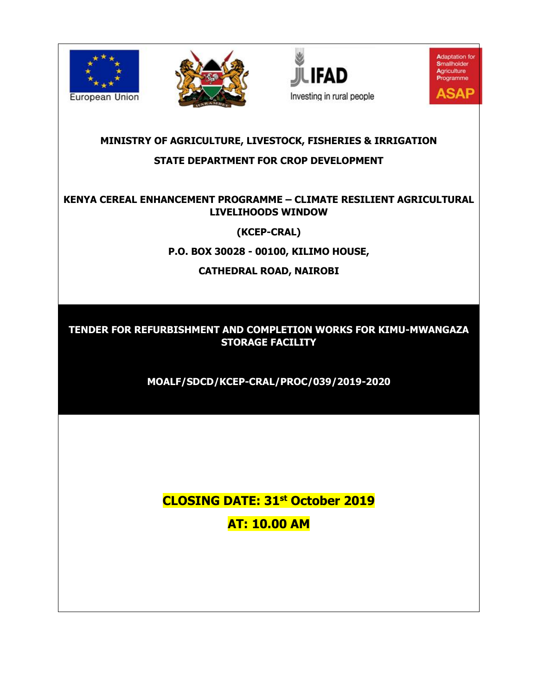







## **MINISTRY OF AGRICULTURE, LIVESTOCK, FISHERIES & IRRIGATION STATE DEPARTMENT FOR CROP DEVELOPMENT**

## **KENYA CEREAL ENHANCEMENT PROGRAMME – CLIMATE RESILIENT AGRICULTURAL LIVELIHOODS WINDOW**

**(KCEP-CRAL)**

**P.O. BOX 30028 - 00100, KILIMO HOUSE,**

**CATHEDRAL ROAD, NAIROBI**

**TENDER FOR REFURBISHMENT AND COMPLETION WORKS FOR KIMU-MWANGAZA STORAGE FACILITY**

**MOALF/SDCD/KCEP-CRAL/PROC/039/2019-2020**

**CLOSING DATE: 31st October 2019 AT: 10.00 AM**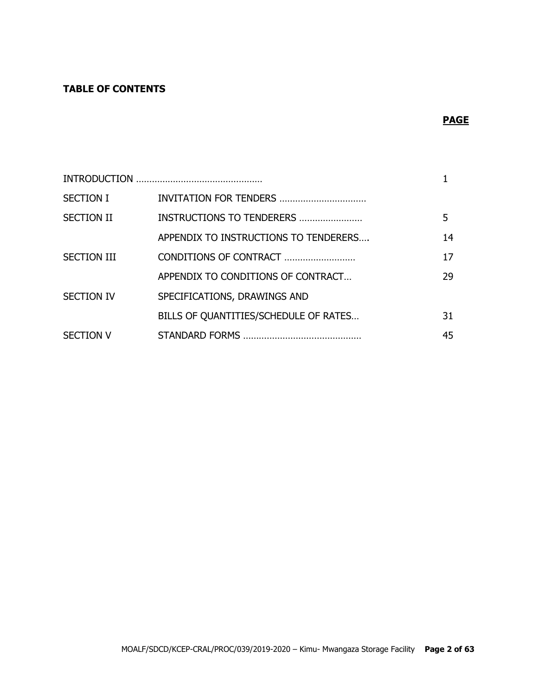## **TABLE OF CONTENTS**

## **PAGE**

| <b>SECTION I</b>   | INVITATION FOR TENDERS                |    |
|--------------------|---------------------------------------|----|
| <b>SECTION II</b>  | INSTRUCTIONS TO TENDERERS             | 5. |
|                    | APPENDIX TO INSTRUCTIONS TO TENDERERS | 14 |
| <b>SECTION III</b> | CONDITIONS OF CONTRACT                | 17 |
|                    | APPENDIX TO CONDITIONS OF CONTRACT    | 29 |
| <b>SECTION IV</b>  | SPECIFICATIONS, DRAWINGS AND          |    |
|                    | BILLS OF QUANTITIES/SCHEDULE OF RATES | 31 |
| <b>SECTION V</b>   |                                       | 45 |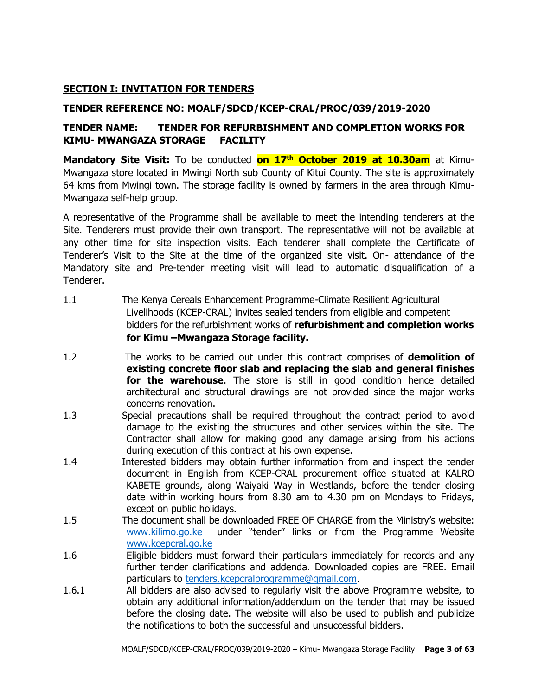#### **SECTION I: INVITATION FOR TENDERS**

#### **TENDER REFERENCE NO: MOALF/SDCD/KCEP-CRAL/PROC/039/2019-2020**

## **TENDER NAME: TENDER FOR REFURBISHMENT AND COMPLETION WORKS FOR KIMU- MWANGAZA STORAGE FACILITY**

**Mandatory Site Visit:** To be conducted **on 17th October 2019 at 10.30am** at Kimu-Mwangaza store located in Mwingi North sub County of Kitui County. The site is approximately 64 kms from Mwingi town. The storage facility is owned by farmers in the area through Kimu-Mwangaza self-help group.

A representative of the Programme shall be available to meet the intending tenderers at the Site. Tenderers must provide their own transport. The representative will not be available at any other time for site inspection visits. Each tenderer shall complete the Certificate of Tenderer's Visit to the Site at the time of the organized site visit. On- attendance of the Mandatory site and Pre-tender meeting visit will lead to automatic disqualification of a Tenderer.

- 1.1 The Kenya Cereals Enhancement Programme-Climate Resilient Agricultural Livelihoods (KCEP-CRAL) invites sealed tenders from eligible and competent bidders for the refurbishment works of **refurbishment and completion works for Kimu –Mwangaza Storage facility.**
- 1.2 The works to be carried out under this contract comprises of **demolition of existing concrete floor slab and replacing the slab and general finishes for the warehouse**. The store is still in good condition hence detailed architectural and structural drawings are not provided since the major works concerns renovation.
- 1.3 Special precautions shall be required throughout the contract period to avoid damage to the existing the structures and other services within the site. The Contractor shall allow for making good any damage arising from his actions during execution of this contract at his own expense.
- 1.4 Interested bidders may obtain further information from and inspect the tender document in English from KCEP-CRAL procurement office situated at KALRO KABETE grounds, along Waiyaki Way in Westlands, before the tender closing date within working hours from 8.30 am to 4.30 pm on Mondays to Fridays, except on public holidays.
- 1.5 The document shall be downloaded FREE OF CHARGE from the Ministry's website: [www.kilimo.go.ke](http://www.kilimo.go.ke/) under "tender'' links or from the Programme Website [www.kcepcral.go.ke](http://www.kcepcral.go.ke/)
- 1.6 Eligible bidders must forward their particulars immediately for records and any further tender clarifications and addenda. Downloaded copies are FREE. Email particulars to [tenders.kcepcralprogramme@gmail.com.](mailto:tenders.kcepcralprogramme@gmail.com)
- 1.6.1 All bidders are also advised to regularly visit the above Programme website, to obtain any additional information/addendum on the tender that may be issued before the closing date. The website will also be used to publish and publicize the notifications to both the successful and unsuccessful bidders.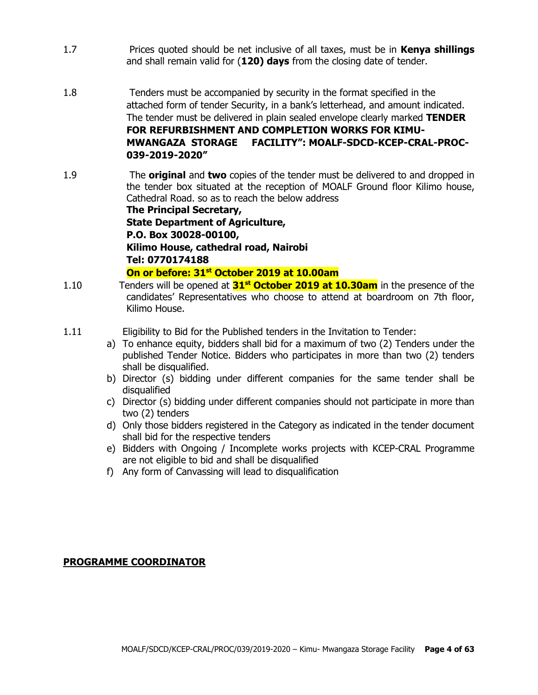- 1.7 Prices quoted should be net inclusive of all taxes, must be in **Kenya shillings** and shall remain valid for (**120) days** from the closing date of tender.
- 1.8 Tenders must be accompanied by security in the format specified in the attached form of tender Security, in a bank's letterhead, and amount indicated. The tender must be delivered in plain sealed envelope clearly marked **TENDER FOR REFURBISHMENT AND COMPLETION WORKS FOR KIMU-MWANGAZA STORAGE FACILITY": MOALF-SDCD-KCEP-CRAL-PROC-039-2019-2020"**
- 1.9 The **original** and **two** copies of the tender must be delivered to and dropped in the tender box situated at the reception of MOALF Ground floor Kilimo house, Cathedral Road. so as to reach the below address

**The Principal Secretary, State Department of Agriculture, P.O. Box 30028-00100, Kilimo House, cathedral road, Nairobi Tel: 0770174188**

**On or before: 31st October 2019 at 10.00am**

- 1.10 Tenders will be opened at **31st October 2019 at 10.30am** in the presence of the candidates' Representatives who choose to attend at boardroom on 7th floor, Kilimo House.
- 1.11 Eligibility to Bid for the Published tenders in the Invitation to Tender:
	- a) To enhance equity, bidders shall bid for a maximum of two (2) Tenders under the published Tender Notice. Bidders who participates in more than two (2) tenders shall be disqualified.
	- b) Director (s) bidding under different companies for the same tender shall be disqualified
	- c) Director (s) bidding under different companies should not participate in more than two (2) tenders
	- d) Only those bidders registered in the Category as indicated in the tender document shall bid for the respective tenders
	- e) Bidders with Ongoing / Incomplete works projects with KCEP-CRAL Programme are not eligible to bid and shall be disqualified
	- f) Any form of Canvassing will lead to disqualification

#### **PROGRAMME COORDINATOR**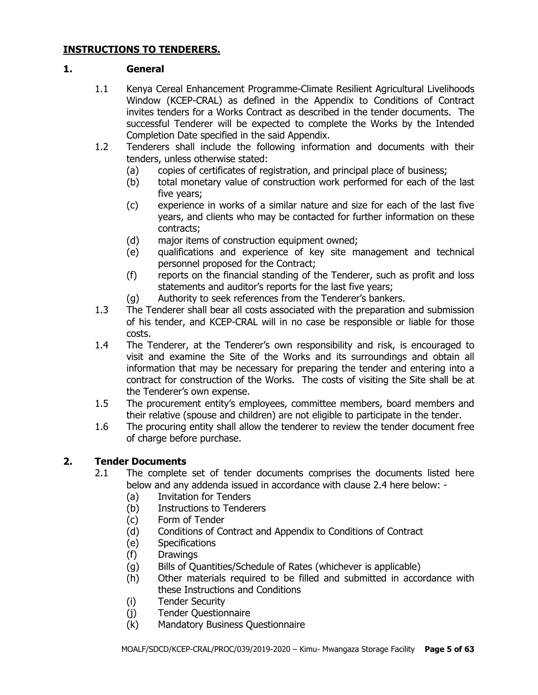#### **INSTRUCTIONS TO TENDERERS.**

#### **1. General**

- 1.1 Kenya Cereal Enhancement Programme-Climate Resilient Agricultural Livelihoods Window (KCEP-CRAL) as defined in the Appendix to Conditions of Contract invites tenders for a Works Contract as described in the tender documents. The successful Tenderer will be expected to complete the Works by the Intended Completion Date specified in the said Appendix.
- 1.2 Tenderers shall include the following information and documents with their tenders, unless otherwise stated:
	- (a) copies of certificates of registration, and principal place of business;
	- (b) total monetary value of construction work performed for each of the last five years;
	- (c) experience in works of a similar nature and size for each of the last five years, and clients who may be contacted for further information on these contracts;
	- (d) major items of construction equipment owned;
	- (e) qualifications and experience of key site management and technical personnel proposed for the Contract;
	- (f) reports on the financial standing of the Tenderer, such as profit and loss statements and auditor's reports for the last five years;
	- (g) Authority to seek references from the Tenderer's bankers.
- 1.3 The Tenderer shall bear all costs associated with the preparation and submission of his tender, and KCEP-CRAL will in no case be responsible or liable for those costs.
- 1.4 The Tenderer, at the Tenderer's own responsibility and risk, is encouraged to visit and examine the Site of the Works and its surroundings and obtain all information that may be necessary for preparing the tender and entering into a contract for construction of the Works. The costs of visiting the Site shall be at the Tenderer's own expense.
- 1.5 The procurement entity's employees, committee members, board members and their relative (spouse and children) are not eligible to participate in the tender.
- 1.6 The procuring entity shall allow the tenderer to review the tender document free of charge before purchase.

## **2. Tender Documents**

- 2.1 The complete set of tender documents comprises the documents listed here below and any addenda issued in accordance with clause 2.4 here below: -
	- (a) Invitation for Tenders
	- (b) Instructions to Tenderers
	- (c) Form of Tender
	- (d) Conditions of Contract and Appendix to Conditions of Contract
	- (e) Specifications
	- (f) Drawings
	- (g) Bills of Quantities/Schedule of Rates (whichever is applicable)
	- (h) Other materials required to be filled and submitted in accordance with these Instructions and Conditions
	- (i) Tender Security
	- (j) Tender Questionnaire
	- (k) Mandatory Business Questionnaire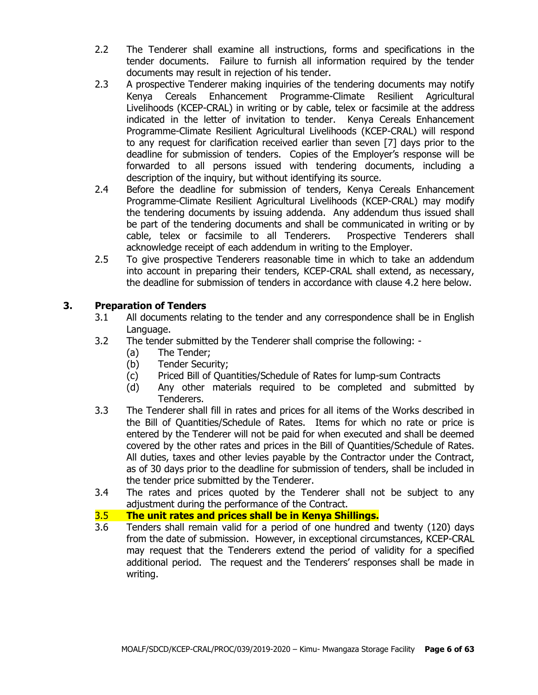- 2.2 The Tenderer shall examine all instructions, forms and specifications in the tender documents. Failure to furnish all information required by the tender documents may result in rejection of his tender.
- 2.3 A prospective Tenderer making inquiries of the tendering documents may notify Kenya Cereals Enhancement Programme-Climate Resilient Agricultural Livelihoods (KCEP-CRAL) in writing or by cable, telex or facsimile at the address indicated in the letter of invitation to tender. Kenya Cereals Enhancement Programme-Climate Resilient Agricultural Livelihoods (KCEP-CRAL) will respond to any request for clarification received earlier than seven [7] days prior to the deadline for submission of tenders. Copies of the Employer's response will be forwarded to all persons issued with tendering documents, including a description of the inquiry, but without identifying its source.
- 2.4 Before the deadline for submission of tenders, Kenya Cereals Enhancement Programme-Climate Resilient Agricultural Livelihoods (KCEP-CRAL) may modify the tendering documents by issuing addenda. Any addendum thus issued shall be part of the tendering documents and shall be communicated in writing or by cable, telex or facsimile to all Tenderers. Prospective Tenderers shall acknowledge receipt of each addendum in writing to the Employer.
- 2.5 To give prospective Tenderers reasonable time in which to take an addendum into account in preparing their tenders, KCEP-CRAL shall extend, as necessary, the deadline for submission of tenders in accordance with clause 4.2 here below.

## **3. Preparation of Tenders**

- 3.1 All documents relating to the tender and any correspondence shall be in English Language.
- 3.2 The tender submitted by the Tenderer shall comprise the following:
	- (a) The Tender;
	- (b) Tender Security;
	- (c) Priced Bill of Quantities/Schedule of Rates for lump-sum Contracts
	- (d) Any other materials required to be completed and submitted by Tenderers.
- 3.3 The Tenderer shall fill in rates and prices for all items of the Works described in the Bill of Quantities/Schedule of Rates. Items for which no rate or price is entered by the Tenderer will not be paid for when executed and shall be deemed covered by the other rates and prices in the Bill of Quantities/Schedule of Rates. All duties, taxes and other levies payable by the Contractor under the Contract, as of 30 days prior to the deadline for submission of tenders, shall be included in the tender price submitted by the Tenderer.
- 3.4 The rates and prices quoted by the Tenderer shall not be subject to any adjustment during the performance of the Contract.

#### 3.5 **The unit rates and prices shall be in Kenya Shillings.**

3.6 Tenders shall remain valid for a period of one hundred and twenty (120) days from the date of submission. However, in exceptional circumstances, KCEP-CRAL may request that the Tenderers extend the period of validity for a specified additional period. The request and the Tenderers' responses shall be made in writing.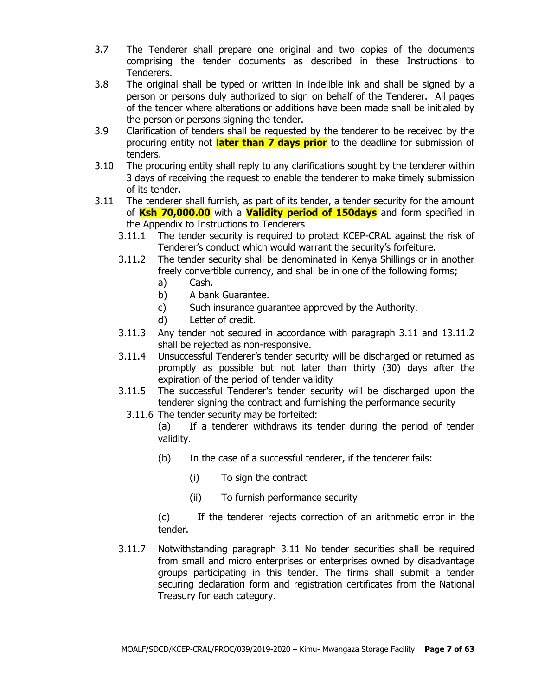- 3.7 The Tenderer shall prepare one original and two copies of the documents comprising the tender documents as described in these Instructions to Tenderers.
- 3.8 The original shall be typed or written in indelible ink and shall be signed by a person or persons duly authorized to sign on behalf of the Tenderer. All pages of the tender where alterations or additions have been made shall be initialed by the person or persons signing the tender.
- 3.9 Clarification of tenders shall be requested by the tenderer to be received by the procuring entity not **later than 7 days prior** to the deadline for submission of tenders.
- 3.10 The procuring entity shall reply to any clarifications sought by the tenderer within 3 days of receiving the request to enable the tenderer to make timely submission of its tender.
- 3.11 The tenderer shall furnish, as part of its tender, a tender security for the amount of **Ksh 70,000.00** with a **Validity period of 150days** and form specified in the Appendix to Instructions to Tenderers
	- 3.11.1 The tender security is required to protect KCEP-CRAL against the risk of Tenderer's conduct which would warrant the security's forfeiture.
	- 3.11.2 The tender security shall be denominated in Kenya Shillings or in another freely convertible currency, and shall be in one of the following forms;
		- a) Cash.
		- b) A bank Guarantee.
		- c) Such insurance guarantee approved by the Authority.
		- d) Letter of credit.
	- 3.11.3 Any tender not secured in accordance with paragraph 3.11 and 13.11.2 shall be rejected as non-responsive.
	- 3.11.4 Unsuccessful Tenderer's tender security will be discharged or returned as promptly as possible but not later than thirty (30) days after the expiration of the period of tender validity
	- 3.11.5 The successful Tenderer's tender security will be discharged upon the tenderer signing the contract and furnishing the performance security
		- 3.11.6 The tender security may be forfeited:

(a) If a tenderer withdraws its tender during the period of tender validity.

- (b) In the case of a successful tenderer, if the tenderer fails:
	- (i) To sign the contract
	- (ii) To furnish performance security

(c) If the tenderer rejects correction of an arithmetic error in the tender.

3.11.7 Notwithstanding paragraph 3.11 No tender securities shall be required from small and micro enterprises or enterprises owned by disadvantage groups participating in this tender. The firms shall submit a tender securing declaration form and registration certificates from the National Treasury for each category.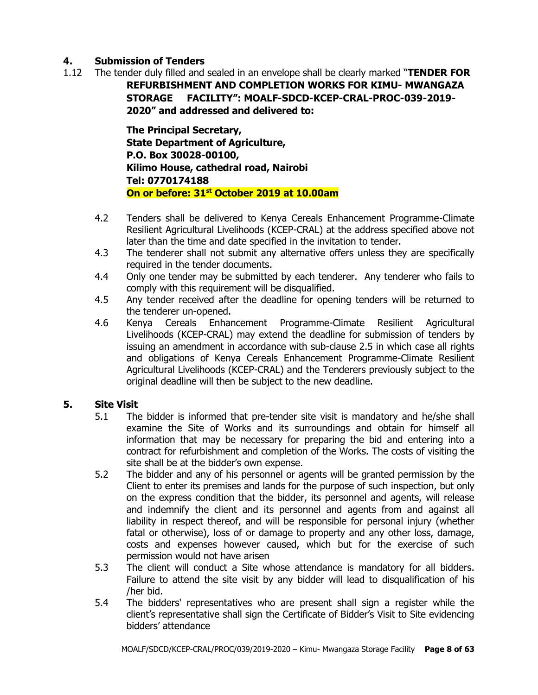## **4. Submission of Tenders**

1.12 The tender duly filled and sealed in an envelope shall be clearly marked "**TENDER FOR REFURBISHMENT AND COMPLETION WORKS FOR KIMU- MWANGAZA STORAGE FACILITY": MOALF-SDCD-KCEP-CRAL-PROC-039-2019- 2020" and addressed and delivered to:**

> **The Principal Secretary, State Department of Agriculture, P.O. Box 30028-00100, Kilimo House, cathedral road, Nairobi Tel: 0770174188 On or before: 31st October 2019 at 10.00am**

- 4.2 Tenders shall be delivered to Kenya Cereals Enhancement Programme-Climate Resilient Agricultural Livelihoods (KCEP-CRAL) at the address specified above not later than the time and date specified in the invitation to tender.
- 4.3 The tenderer shall not submit any alternative offers unless they are specifically required in the tender documents.
- 4.4 Only one tender may be submitted by each tenderer. Any tenderer who fails to comply with this requirement will be disqualified.
- 4.5 Any tender received after the deadline for opening tenders will be returned to the tenderer un-opened.
- 4.6 Kenya Cereals Enhancement Programme-Climate Resilient Agricultural Livelihoods (KCEP-CRAL) may extend the deadline for submission of tenders by issuing an amendment in accordance with sub-clause 2.5 in which case all rights and obligations of Kenya Cereals Enhancement Programme-Climate Resilient Agricultural Livelihoods (KCEP-CRAL) and the Tenderers previously subject to the original deadline will then be subject to the new deadline.

#### **5. Site Visit**

- 5.1 The bidder is informed that pre-tender site visit is mandatory and he/she shall examine the Site of Works and its surroundings and obtain for himself all information that may be necessary for preparing the bid and entering into a contract for refurbishment and completion of the Works. The costs of visiting the site shall be at the bidder's own expense.
- 5.2 The bidder and any of his personnel or agents will be granted permission by the Client to enter its premises and lands for the purpose of such inspection, but only on the express condition that the bidder, its personnel and agents, will release and indemnify the client and its personnel and agents from and against all liability in respect thereof, and will be responsible for personal injury (whether fatal or otherwise), loss of or damage to property and any other loss, damage, costs and expenses however caused, which but for the exercise of such permission would not have arisen
- 5.3 The client will conduct a Site whose attendance is mandatory for all bidders. Failure to attend the site visit by any bidder will lead to disqualification of his /her bid.
- 5.4 The bidders' representatives who are present shall sign a register while the client's representative shall sign the Certificate of Bidder's Visit to Site evidencing bidders' attendance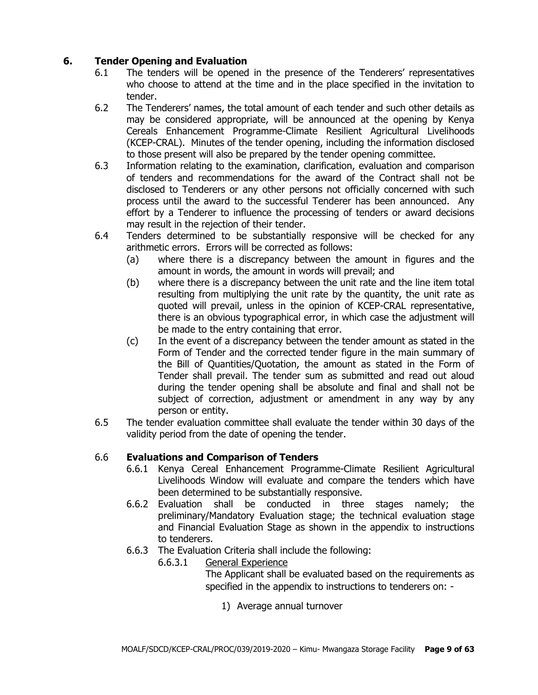## **6. Tender Opening and Evaluation**

- 6.1 The tenders will be opened in the presence of the Tenderers' representatives who choose to attend at the time and in the place specified in the invitation to tender.
- 6.2 The Tenderers' names, the total amount of each tender and such other details as may be considered appropriate, will be announced at the opening by Kenya Cereals Enhancement Programme-Climate Resilient Agricultural Livelihoods (KCEP-CRAL). Minutes of the tender opening, including the information disclosed to those present will also be prepared by the tender opening committee.
- 6.3 Information relating to the examination, clarification, evaluation and comparison of tenders and recommendations for the award of the Contract shall not be disclosed to Tenderers or any other persons not officially concerned with such process until the award to the successful Tenderer has been announced. Any effort by a Tenderer to influence the processing of tenders or award decisions may result in the rejection of their tender.
- 6.4 Tenders determined to be substantially responsive will be checked for any arithmetic errors. Errors will be corrected as follows:
	- (a) where there is a discrepancy between the amount in figures and the amount in words, the amount in words will prevail; and
	- (b) where there is a discrepancy between the unit rate and the line item total resulting from multiplying the unit rate by the quantity, the unit rate as quoted will prevail, unless in the opinion of KCEP-CRAL representative, there is an obvious typographical error, in which case the adjustment will be made to the entry containing that error.
	- (c) In the event of a discrepancy between the tender amount as stated in the Form of Tender and the corrected tender figure in the main summary of the Bill of Quantities/Quotation, the amount as stated in the Form of Tender shall prevail. The tender sum as submitted and read out aloud during the tender opening shall be absolute and final and shall not be subject of correction, adjustment or amendment in any way by any person or entity.
- 6.5 The tender evaluation committee shall evaluate the tender within 30 days of the validity period from the date of opening the tender.

#### 6.6 **Evaluations and Comparison of Tenders**

- 6.6.1 Kenya Cereal Enhancement Programme-Climate Resilient Agricultural Livelihoods Window will evaluate and compare the tenders which have been determined to be substantially responsive.
- 6.6.2 Evaluation shall be conducted in three stages namely; the preliminary/Mandatory Evaluation stage; the technical evaluation stage and Financial Evaluation Stage as shown in the appendix to instructions to tenderers.
- 6.6.3 The Evaluation Criteria shall include the following:
	- 6.6.3.1 General Experience

The Applicant shall be evaluated based on the requirements as specified in the appendix to instructions to tenderers on: -

1) Average annual turnover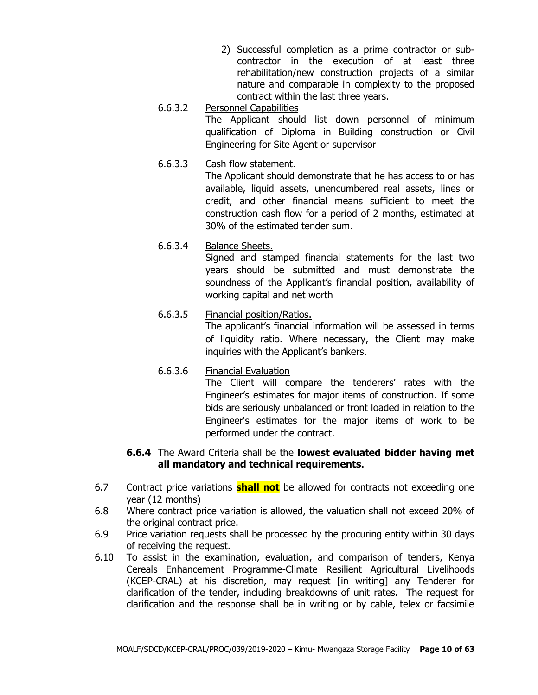- 2) Successful completion as a prime contractor or subcontractor in the execution of at least three rehabilitation/new construction projects of a similar nature and comparable in complexity to the proposed contract within the last three years.
- 6.6.3.2 Personnel Capabilities The Applicant should list down personnel of minimum qualification of Diploma in Building construction or Civil Engineering for Site Agent or supervisor
- 6.6.3.3 Cash flow statement.

The Applicant should demonstrate that he has access to or has available, liquid assets, unencumbered real assets, lines or credit, and other financial means sufficient to meet the construction cash flow for a period of 2 months, estimated at 30% of the estimated tender sum.

6.6.3.4 Balance Sheets.

Signed and stamped financial statements for the last two years should be submitted and must demonstrate the soundness of the Applicant's financial position, availability of working capital and net worth

## 6.6.3.5 Financial position/Ratios.

The applicant's financial information will be assessed in terms of liquidity ratio. Where necessary, the Client may make inquiries with the Applicant's bankers.

6.6.3.6 Financial Evaluation The Client will compare the tenderers' rates with the Engineer's estimates for major items of construction. If some bids are seriously unbalanced or front loaded in relation to the Engineer's estimates for the major items of work to be performed under the contract.

#### **6.6.4** The Award Criteria shall be the **lowest evaluated bidder having met all mandatory and technical requirements.**

- 6.7 Contract price variations **shall not** be allowed for contracts not exceeding one year (12 months)
- 6.8 Where contract price variation is allowed, the valuation shall not exceed 20% of the original contract price.
- 6.9 Price variation requests shall be processed by the procuring entity within 30 days of receiving the request.
- 6.10 To assist in the examination, evaluation, and comparison of tenders, Kenya Cereals Enhancement Programme-Climate Resilient Agricultural Livelihoods (KCEP-CRAL) at his discretion, may request [in writing] any Tenderer for clarification of the tender, including breakdowns of unit rates. The request for clarification and the response shall be in writing or by cable, telex or facsimile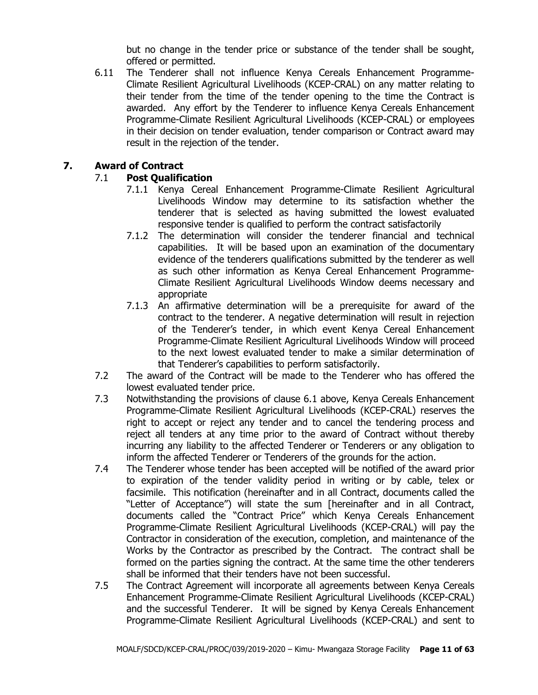but no change in the tender price or substance of the tender shall be sought, offered or permitted.

6.11 The Tenderer shall not influence Kenya Cereals Enhancement Programme-Climate Resilient Agricultural Livelihoods (KCEP-CRAL) on any matter relating to their tender from the time of the tender opening to the time the Contract is awarded. Any effort by the Tenderer to influence Kenya Cereals Enhancement Programme-Climate Resilient Agricultural Livelihoods (KCEP-CRAL) or employees in their decision on tender evaluation, tender comparison or Contract award may result in the rejection of the tender.

#### **7. Award of Contract**

## 7.1 **Post Qualification**

- 7.1.1 Kenya Cereal Enhancement Programme-Climate Resilient Agricultural Livelihoods Window may determine to its satisfaction whether the tenderer that is selected as having submitted the lowest evaluated responsive tender is qualified to perform the contract satisfactorily
- 7.1.2 The determination will consider the tenderer financial and technical capabilities. It will be based upon an examination of the documentary evidence of the tenderers qualifications submitted by the tenderer as well as such other information as Kenya Cereal Enhancement Programme-Climate Resilient Agricultural Livelihoods Window deems necessary and appropriate
- 7.1.3 An affirmative determination will be a prerequisite for award of the contract to the tenderer. A negative determination will result in rejection of the Tenderer's tender, in which event Kenya Cereal Enhancement Programme-Climate Resilient Agricultural Livelihoods Window will proceed to the next lowest evaluated tender to make a similar determination of that Tenderer's capabilities to perform satisfactorily.
- 7.2 The award of the Contract will be made to the Tenderer who has offered the lowest evaluated tender price.
- 7.3 Notwithstanding the provisions of clause 6.1 above, Kenya Cereals Enhancement Programme-Climate Resilient Agricultural Livelihoods (KCEP-CRAL) reserves the right to accept or reject any tender and to cancel the tendering process and reject all tenders at any time prior to the award of Contract without thereby incurring any liability to the affected Tenderer or Tenderers or any obligation to inform the affected Tenderer or Tenderers of the grounds for the action.
- 7.4 The Tenderer whose tender has been accepted will be notified of the award prior to expiration of the tender validity period in writing or by cable, telex or facsimile. This notification (hereinafter and in all Contract, documents called the "Letter of Acceptance") will state the sum [hereinafter and in all Contract, documents called the "Contract Price" which Kenya Cereals Enhancement Programme-Climate Resilient Agricultural Livelihoods (KCEP-CRAL) will pay the Contractor in consideration of the execution, completion, and maintenance of the Works by the Contractor as prescribed by the Contract. The contract shall be formed on the parties signing the contract. At the same time the other tenderers shall be informed that their tenders have not been successful.
- 7.5 The Contract Agreement will incorporate all agreements between Kenya Cereals Enhancement Programme-Climate Resilient Agricultural Livelihoods (KCEP-CRAL) and the successful Tenderer. It will be signed by Kenya Cereals Enhancement Programme-Climate Resilient Agricultural Livelihoods (KCEP-CRAL) and sent to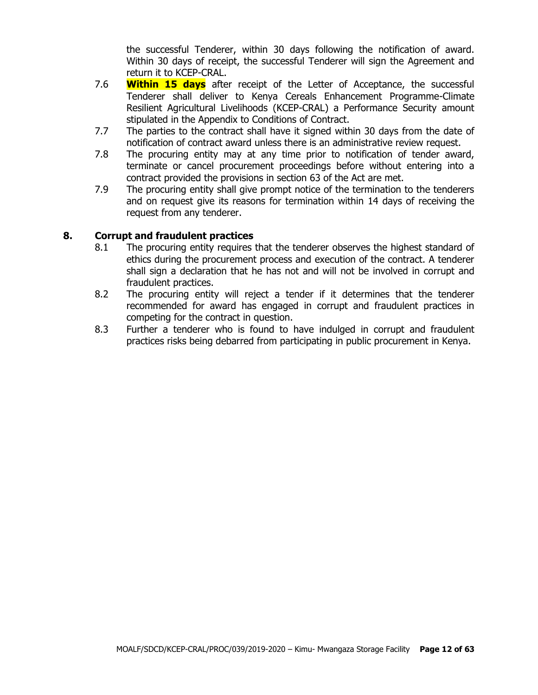the successful Tenderer, within 30 days following the notification of award. Within 30 days of receipt, the successful Tenderer will sign the Agreement and return it to KCEP-CRAL.

- 7.6 **Within 15 days** after receipt of the Letter of Acceptance, the successful Tenderer shall deliver to Kenya Cereals Enhancement Programme-Climate Resilient Agricultural Livelihoods (KCEP-CRAL) a Performance Security amount stipulated in the Appendix to Conditions of Contract.
- 7.7 The parties to the contract shall have it signed within 30 days from the date of notification of contract award unless there is an administrative review request.
- 7.8 The procuring entity may at any time prior to notification of tender award, terminate or cancel procurement proceedings before without entering into a contract provided the provisions in section 63 of the Act are met.
- 7.9 The procuring entity shall give prompt notice of the termination to the tenderers and on request give its reasons for termination within 14 days of receiving the request from any tenderer.

#### **8. Corrupt and fraudulent practices**

- 8.1 The procuring entity requires that the tenderer observes the highest standard of ethics during the procurement process and execution of the contract. A tenderer shall sign a declaration that he has not and will not be involved in corrupt and fraudulent practices.
- 8.2 The procuring entity will reject a tender if it determines that the tenderer recommended for award has engaged in corrupt and fraudulent practices in competing for the contract in question.
- 8.3 Further a tenderer who is found to have indulged in corrupt and fraudulent practices risks being debarred from participating in public procurement in Kenya.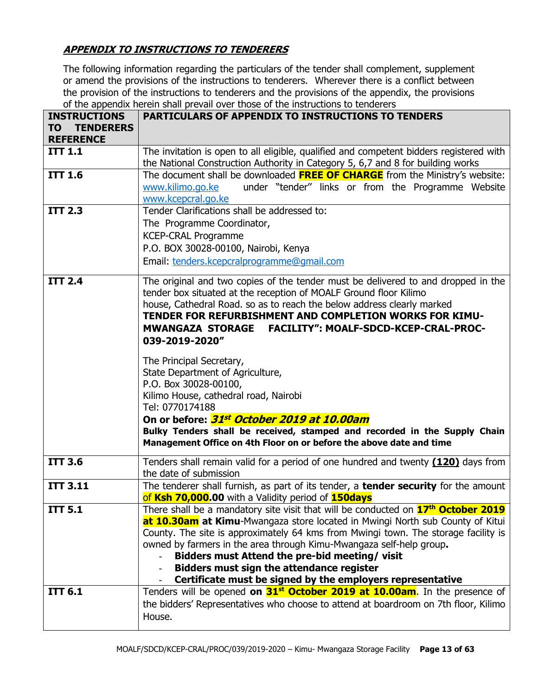## **APPENDIX TO INSTRUCTIONS TO TENDERERS**

The following information regarding the particulars of the tender shall complement, supplement or amend the provisions of the instructions to tenderers. Wherever there is a conflict between the provision of the instructions to tenderers and the provisions of the appendix, the provisions of the appendix herein shall prevail over those of the instructions to tenderers

| <b>INSTRUCTIONS</b>                        | <b>PARTICULARS OF APPENDIX TO INSTRUCTIONS TO TENDERS</b>                                                                                        |  |  |  |  |  |
|--------------------------------------------|--------------------------------------------------------------------------------------------------------------------------------------------------|--|--|--|--|--|
| <b>TENDERERS</b><br>TΟ<br><b>REFERENCE</b> |                                                                                                                                                  |  |  |  |  |  |
| <b>ITT 1.1</b>                             | The invitation is open to all eligible, qualified and competent bidders registered with                                                          |  |  |  |  |  |
|                                            | the National Construction Authority in Category 5, 6,7 and 8 for building works                                                                  |  |  |  |  |  |
| <b>ITT 1.6</b>                             | The document shall be downloaded <b>FREE OF CHARGE</b> from the Ministry's website:                                                              |  |  |  |  |  |
|                                            | under "tender" links or from the Programme Website<br>www.kilimo.go.ke                                                                           |  |  |  |  |  |
| <b>ITT 2.3</b>                             | www.kcepcral.go.ke<br>Tender Clarifications shall be addressed to:                                                                               |  |  |  |  |  |
|                                            | The Programme Coordinator,                                                                                                                       |  |  |  |  |  |
|                                            | <b>KCEP-CRAL Programme</b>                                                                                                                       |  |  |  |  |  |
|                                            | P.O. BOX 30028-00100, Nairobi, Kenya                                                                                                             |  |  |  |  |  |
|                                            | Email: tenders.kcepcralprogramme@gmail.com                                                                                                       |  |  |  |  |  |
|                                            |                                                                                                                                                  |  |  |  |  |  |
| <b>ITT 2.4</b>                             | The original and two copies of the tender must be delivered to and dropped in the                                                                |  |  |  |  |  |
|                                            | tender box situated at the reception of MOALF Ground floor Kilimo                                                                                |  |  |  |  |  |
|                                            | house, Cathedral Road. so as to reach the below address clearly marked<br>TENDER FOR REFURBISHMENT AND COMPLETION WORKS FOR KIMU-                |  |  |  |  |  |
|                                            | FACILITY": MOALF-SDCD-KCEP-CRAL-PROC-<br><b>MWANGAZA STORAGE</b>                                                                                 |  |  |  |  |  |
|                                            | 039-2019-2020"                                                                                                                                   |  |  |  |  |  |
|                                            |                                                                                                                                                  |  |  |  |  |  |
|                                            | The Principal Secretary,<br>State Department of Agriculture,                                                                                     |  |  |  |  |  |
|                                            | P.O. Box 30028-00100,                                                                                                                            |  |  |  |  |  |
|                                            | Kilimo House, cathedral road, Nairobi                                                                                                            |  |  |  |  |  |
|                                            | Tel: 0770174188                                                                                                                                  |  |  |  |  |  |
|                                            | On or before: 31st October 2019 at 10.00am                                                                                                       |  |  |  |  |  |
|                                            | Bulky Tenders shall be received, stamped and recorded in the Supply Chain                                                                        |  |  |  |  |  |
|                                            | Management Office on 4th Floor on or before the above date and time                                                                              |  |  |  |  |  |
| <b>ITT 3.6</b>                             | Tenders shall remain valid for a period of one hundred and twenty (120) days from                                                                |  |  |  |  |  |
|                                            | the date of submission                                                                                                                           |  |  |  |  |  |
| <b>ITT 3.11</b>                            | The tenderer shall furnish, as part of its tender, a <b>tender security</b> for the amount<br>of Ksh 70,000.00 with a Validity period of 150days |  |  |  |  |  |
| <b>ITT 5.1</b>                             | There shall be a mandatory site visit that will be conducted on 17 <sup>th</sup> October 2019                                                    |  |  |  |  |  |
|                                            | at 10.30am at Kimu-Mwangaza store located in Mwingi North sub County of Kitui                                                                    |  |  |  |  |  |
|                                            | County. The site is approximately 64 kms from Mwingi town. The storage facility is                                                               |  |  |  |  |  |
|                                            | owned by farmers in the area through Kimu-Mwangaza self-help group.                                                                              |  |  |  |  |  |
|                                            | Bidders must Attend the pre-bid meeting/visit                                                                                                    |  |  |  |  |  |
|                                            | <b>Bidders must sign the attendance register</b>                                                                                                 |  |  |  |  |  |
|                                            | Certificate must be signed by the employers representative                                                                                       |  |  |  |  |  |
| <b>ITT 6.1</b>                             | Tenders will be opened on 31 <sup>st</sup> October 2019 at 10.00am. In the presence of                                                           |  |  |  |  |  |
|                                            | the bidders' Representatives who choose to attend at boardroom on 7th floor, Kilimo                                                              |  |  |  |  |  |
|                                            | House.                                                                                                                                           |  |  |  |  |  |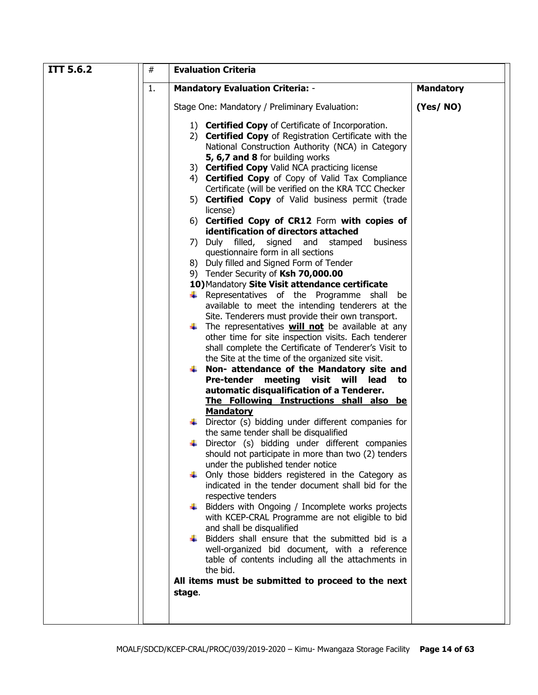| <b>ITT 5.6.2</b><br># | <b>Evaluation Criteria</b>                                                                                                                                                                                                                                                                                                                                                                                                                                                                                                                                                                                                                                                                                                                                                                                                                                                                                                                                                                                                                                                                                                                                                                                                                                                                                                                                                                                                                                                                                                                                                                                                                                                                                                                                                                                                                                                                              |                  |  |  |  |
|-----------------------|---------------------------------------------------------------------------------------------------------------------------------------------------------------------------------------------------------------------------------------------------------------------------------------------------------------------------------------------------------------------------------------------------------------------------------------------------------------------------------------------------------------------------------------------------------------------------------------------------------------------------------------------------------------------------------------------------------------------------------------------------------------------------------------------------------------------------------------------------------------------------------------------------------------------------------------------------------------------------------------------------------------------------------------------------------------------------------------------------------------------------------------------------------------------------------------------------------------------------------------------------------------------------------------------------------------------------------------------------------------------------------------------------------------------------------------------------------------------------------------------------------------------------------------------------------------------------------------------------------------------------------------------------------------------------------------------------------------------------------------------------------------------------------------------------------------------------------------------------------------------------------------------------------|------------------|--|--|--|
| 1.                    | <b>Mandatory Evaluation Criteria: -</b>                                                                                                                                                                                                                                                                                                                                                                                                                                                                                                                                                                                                                                                                                                                                                                                                                                                                                                                                                                                                                                                                                                                                                                                                                                                                                                                                                                                                                                                                                                                                                                                                                                                                                                                                                                                                                                                                 | <b>Mandatory</b> |  |  |  |
|                       | Stage One: Mandatory / Preliminary Evaluation:                                                                                                                                                                                                                                                                                                                                                                                                                                                                                                                                                                                                                                                                                                                                                                                                                                                                                                                                                                                                                                                                                                                                                                                                                                                                                                                                                                                                                                                                                                                                                                                                                                                                                                                                                                                                                                                          | (Yes/NO)         |  |  |  |
|                       | 1) <b>Certified Copy</b> of Certificate of Incorporation.<br>2) Certified Copy of Registration Certificate with the<br>National Construction Authority (NCA) in Category<br>5, 6,7 and 8 for building works<br>3) Certified Copy Valid NCA practicing license<br>4) Certified Copy of Copy of Valid Tax Compliance<br>Certificate (will be verified on the KRA TCC Checker<br>5) Certified Copy of Valid business permit (trade<br>license)<br>6) Certified Copy of CR12 Form with copies of<br>identification of directors attached<br>business<br>7) Duly filled,<br>signed and<br>stamped<br>questionnaire form in all sections<br>8) Duly filled and Signed Form of Tender<br>9) Tender Security of Ksh 70,000.00<br>10) Mandatory Site Visit attendance certificate<br>$\downarrow$ Representatives of the Programme shall<br>be<br>available to meet the intending tenderers at the<br>Site. Tenderers must provide their own transport.<br>$\downarrow$ The representatives <b>will not</b> be available at any<br>other time for site inspection visits. Each tenderer<br>shall complete the Certificate of Tenderer's Visit to<br>the Site at the time of the organized site visit.<br>$\downarrow$ Non- attendance of the Mandatory site and<br>Pre-tender meeting visit will<br>lead<br>to<br>automatic disqualification of a Tenderer.<br>The Following Instructions shall also be<br><b>Mandatory</b><br>Director (s) bidding under different companies for<br>the same tender shall be disqualified<br>Director (s) bidding under different companies<br>should not participate in more than two (2) tenders<br>under the published tender notice<br>Only those bidders registered in the Category as<br>indicated in the tender document shall bid for the<br>respective tenders<br>Bidders with Ongoing / Incomplete works projects<br>with KCEP-CRAL Programme are not eligible to bid |                  |  |  |  |
|                       | and shall be disqualified<br>Bidders shall ensure that the submitted bid is a<br>well-organized bid document, with a reference<br>table of contents including all the attachments in                                                                                                                                                                                                                                                                                                                                                                                                                                                                                                                                                                                                                                                                                                                                                                                                                                                                                                                                                                                                                                                                                                                                                                                                                                                                                                                                                                                                                                                                                                                                                                                                                                                                                                                    |                  |  |  |  |
|                       | the bid.<br>All items must be submitted to proceed to the next                                                                                                                                                                                                                                                                                                                                                                                                                                                                                                                                                                                                                                                                                                                                                                                                                                                                                                                                                                                                                                                                                                                                                                                                                                                                                                                                                                                                                                                                                                                                                                                                                                                                                                                                                                                                                                          |                  |  |  |  |
|                       | stage.                                                                                                                                                                                                                                                                                                                                                                                                                                                                                                                                                                                                                                                                                                                                                                                                                                                                                                                                                                                                                                                                                                                                                                                                                                                                                                                                                                                                                                                                                                                                                                                                                                                                                                                                                                                                                                                                                                  |                  |  |  |  |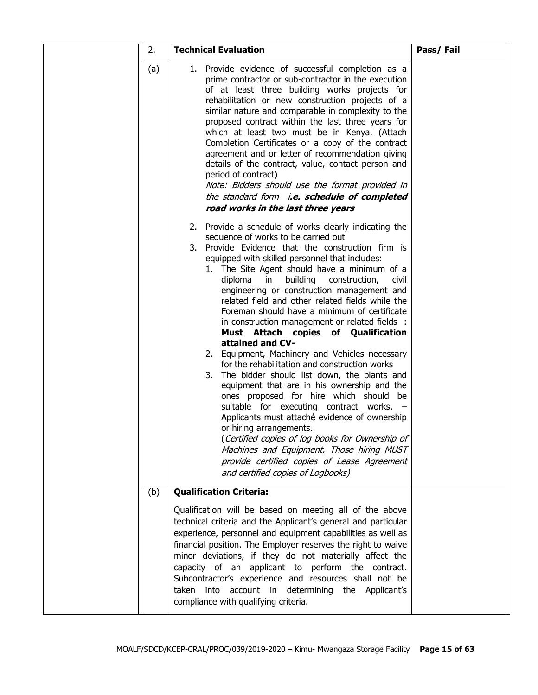| 2.  | <b>Technical Evaluation</b>                                                                                                                                                                                                                                                                                                                                                                                                                                                                                                                                                                                                                                                                                                                                                                                                                                                                                                                                                                                                                                                                                                                   | Pass/Fail |
|-----|-----------------------------------------------------------------------------------------------------------------------------------------------------------------------------------------------------------------------------------------------------------------------------------------------------------------------------------------------------------------------------------------------------------------------------------------------------------------------------------------------------------------------------------------------------------------------------------------------------------------------------------------------------------------------------------------------------------------------------------------------------------------------------------------------------------------------------------------------------------------------------------------------------------------------------------------------------------------------------------------------------------------------------------------------------------------------------------------------------------------------------------------------|-----------|
| (a) | 1. Provide evidence of successful completion as a<br>prime contractor or sub-contractor in the execution<br>of at least three building works projects for<br>rehabilitation or new construction projects of a<br>similar nature and comparable in complexity to the<br>proposed contract within the last three years for<br>which at least two must be in Kenya. (Attach<br>Completion Certificates or a copy of the contract<br>agreement and or letter of recommendation giving<br>details of the contract, value, contact person and<br>period of contract)<br>Note: Bidders should use the format provided in<br>the standard form i.e. schedule of completed<br>road works in the last three years                                                                                                                                                                                                                                                                                                                                                                                                                                       |           |
|     | 2. Provide a schedule of works clearly indicating the<br>sequence of works to be carried out<br>3. Provide Evidence that the construction firm is<br>equipped with skilled personnel that includes:<br>1. The Site Agent should have a minimum of a<br>diploma<br>building<br>construction,<br>in<br><b>CIVII</b><br>engineering or construction management and<br>related field and other related fields while the<br>Foreman should have a minimum of certificate<br>in construction management or related fields :<br>Must Attach copies of Qualification<br>attained and CV-<br>2. Equipment, Machinery and Vehicles necessary<br>for the rehabilitation and construction works<br>3.<br>The bidder should list down, the plants and<br>equipment that are in his ownership and the<br>ones proposed for hire which should be<br>suitable for executing contract works. -<br>Applicants must attaché evidence of ownership<br>or hiring arrangements.<br>(Certified copies of log books for Ownership of<br>Machines and Equipment. Those hiring MUST<br>provide certified copies of Lease Agreement<br>and certified copies of Logbooks) |           |
| (b) | <b>Qualification Criteria:</b>                                                                                                                                                                                                                                                                                                                                                                                                                                                                                                                                                                                                                                                                                                                                                                                                                                                                                                                                                                                                                                                                                                                |           |
|     | Qualification will be based on meeting all of the above<br>technical criteria and the Applicant's general and particular<br>experience, personnel and equipment capabilities as well as<br>financial position. The Employer reserves the right to waive<br>minor deviations, if they do not materially affect the<br>capacity of an applicant to perform the contract.<br>Subcontractor's experience and resources shall not be<br>taken into account in determining the Applicant's<br>compliance with qualifying criteria.                                                                                                                                                                                                                                                                                                                                                                                                                                                                                                                                                                                                                  |           |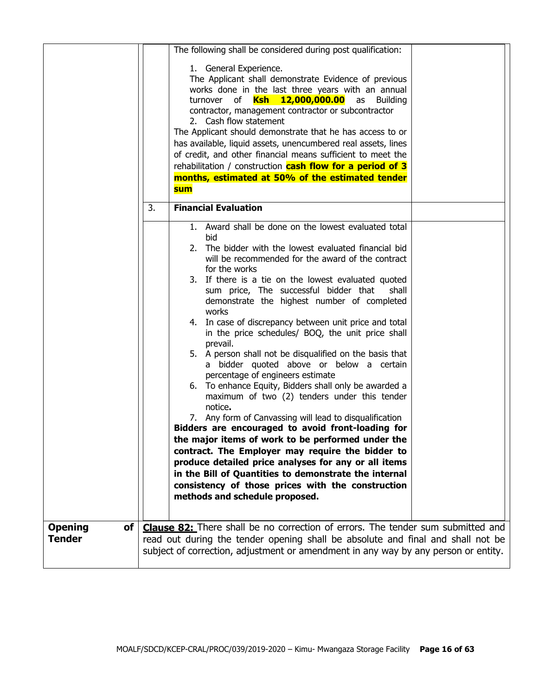|                                 |    | The following shall be considered during post qualification:                                                                                                                                                                                                                                                                                                                                                                                                                                                                                                                                                                                                                                                                                                                                                                                                                                                                                                                                                                                                                                                                                                                                                                                                                        |  |
|---------------------------------|----|-------------------------------------------------------------------------------------------------------------------------------------------------------------------------------------------------------------------------------------------------------------------------------------------------------------------------------------------------------------------------------------------------------------------------------------------------------------------------------------------------------------------------------------------------------------------------------------------------------------------------------------------------------------------------------------------------------------------------------------------------------------------------------------------------------------------------------------------------------------------------------------------------------------------------------------------------------------------------------------------------------------------------------------------------------------------------------------------------------------------------------------------------------------------------------------------------------------------------------------------------------------------------------------|--|
|                                 |    | 1. General Experience.<br>The Applicant shall demonstrate Evidence of previous<br>works done in the last three years with an annual<br>turnover of <b>Ksh 12,000,000.00</b><br>as Building<br>contractor, management contractor or subcontractor<br>2. Cash flow statement<br>The Applicant should demonstrate that he has access to or<br>has available, liquid assets, unencumbered real assets, lines<br>of credit, and other financial means sufficient to meet the<br>rehabilitation / construction <b>cash flow for a period of 3</b><br>months, estimated at 50% of the estimated tender<br><b>sum</b>                                                                                                                                                                                                                                                                                                                                                                                                                                                                                                                                                                                                                                                                       |  |
|                                 | 3. | <b>Financial Evaluation</b>                                                                                                                                                                                                                                                                                                                                                                                                                                                                                                                                                                                                                                                                                                                                                                                                                                                                                                                                                                                                                                                                                                                                                                                                                                                         |  |
| of                              |    | 1. Award shall be done on the lowest evaluated total<br>bid<br>The bidder with the lowest evaluated financial bid<br>2.<br>will be recommended for the award of the contract<br>for the works<br>3. If there is a tie on the lowest evaluated quoted<br>sum price, The successful bidder that<br>shall<br>demonstrate the highest number of completed<br>works<br>4. In case of discrepancy between unit price and total<br>in the price schedules/ BOQ, the unit price shall<br>prevail.<br>5. A person shall not be disqualified on the basis that<br>a bidder quoted above or below a certain<br>percentage of engineers estimate<br>6. To enhance Equity, Bidders shall only be awarded a<br>maximum of two (2) tenders under this tender<br>notice.<br>7. Any form of Canvassing will lead to disqualification<br>Bidders are encouraged to avoid front-loading for<br>the major items of work to be performed under the<br>contract. The Employer may require the bidder to<br>produce detailed price analyses for any or all items<br>in the Bill of Quantities to demonstrate the internal<br>consistency of those prices with the construction<br>methods and schedule proposed.<br><b>Clause 82:</b> There shall be no correction of errors. The tender sum submitted and |  |
| <b>Opening</b><br><b>Tender</b> |    | read out during the tender opening shall be absolute and final and shall not be<br>subject of correction, adjustment or amendment in any way by any person or entity.                                                                                                                                                                                                                                                                                                                                                                                                                                                                                                                                                                                                                                                                                                                                                                                                                                                                                                                                                                                                                                                                                                               |  |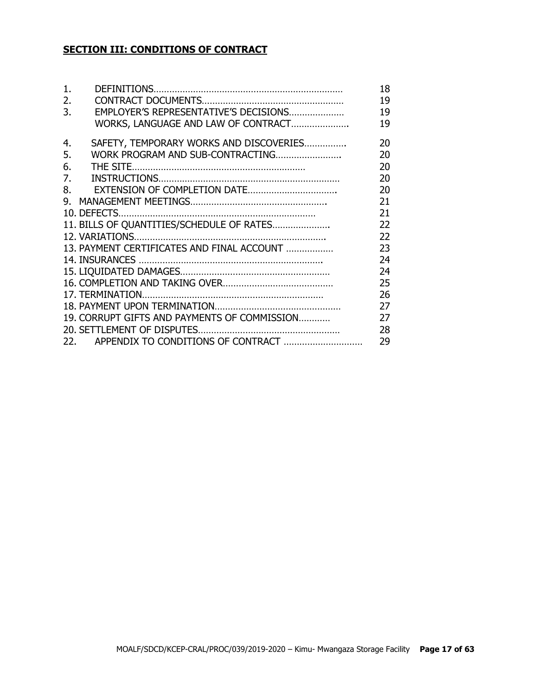## **SECTION III: CONDITIONS OF CONTRACT**

| $\mathbf 1$ . |                                              | 18 |
|---------------|----------------------------------------------|----|
| 2.            |                                              | 19 |
| 3.            | EMPLOYER'S REPRESENTATIVE'S DECISIONS        | 19 |
|               | WORKS, LANGUAGE AND LAW OF CONTRACT          | 19 |
| 4.            | SAFETY, TEMPORARY WORKS AND DISCOVERIES      | 20 |
| 5.            | WORK PROGRAM AND SUB-CONTRACTING             | 20 |
| 6.            |                                              | 20 |
| 7.            |                                              | 20 |
| 8.            |                                              | 20 |
| ۹.            |                                              | 21 |
|               |                                              | 21 |
|               | 11. BILLS OF QUANTITIES/SCHEDULE OF RATES    | 22 |
|               |                                              | 22 |
|               | 13. PAYMENT CERTIFICATES AND FINAL ACCOUNT   | 23 |
|               |                                              | 24 |
|               |                                              | 24 |
|               |                                              | 25 |
|               |                                              | 26 |
|               |                                              | 27 |
|               | 19. CORRUPT GIFTS AND PAYMENTS OF COMMISSION | 27 |
|               |                                              | 28 |
|               |                                              | 29 |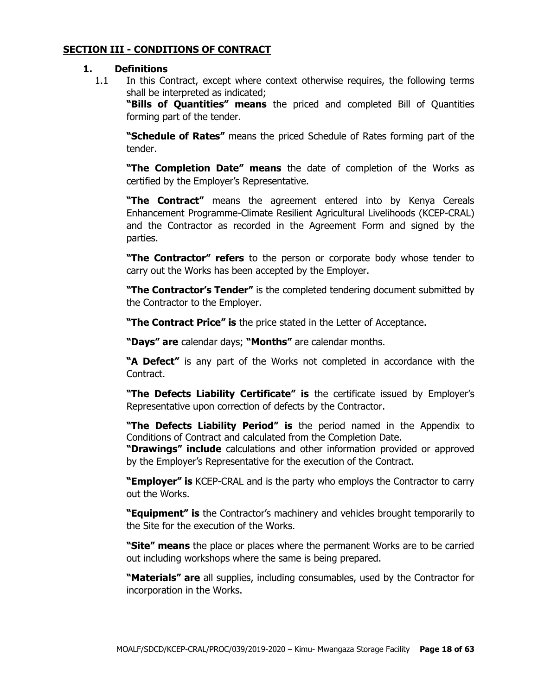#### **SECTION III - CONDITIONS OF CONTRACT**

#### **1. Definitions**

1.1 In this Contract, except where context otherwise requires, the following terms shall be interpreted as indicated;

**"Bills of Quantities" means** the priced and completed Bill of Quantities forming part of the tender.

**"Schedule of Rates"** means the priced Schedule of Rates forming part of the tender.

**"The Completion Date" means** the date of completion of the Works as certified by the Employer's Representative.

**"The Contract"** means the agreement entered into by Kenya Cereals Enhancement Programme-Climate Resilient Agricultural Livelihoods (KCEP-CRAL) and the Contractor as recorded in the Agreement Form and signed by the parties.

**"The Contractor" refers** to the person or corporate body whose tender to carry out the Works has been accepted by the Employer.

**"The Contractor's Tender"** is the completed tendering document submitted by the Contractor to the Employer.

**"The Contract Price" is** the price stated in the Letter of Acceptance.

**"Days" are** calendar days; **"Months"** are calendar months.

**"A Defect"** is any part of the Works not completed in accordance with the Contract.

**"The Defects Liability Certificate" is** the certificate issued by Employer's Representative upon correction of defects by the Contractor.

**"The Defects Liability Period" is** the period named in the Appendix to Conditions of Contract and calculated from the Completion Date.

**"Drawings" include** calculations and other information provided or approved by the Employer's Representative for the execution of the Contract.

**"Employer" is** KCEP-CRAL and is the party who employs the Contractor to carry out the Works.

**"Equipment" is** the Contractor's machinery and vehicles brought temporarily to the Site for the execution of the Works.

**"Site" means** the place or places where the permanent Works are to be carried out including workshops where the same is being prepared.

**"Materials" are** all supplies, including consumables, used by the Contractor for incorporation in the Works.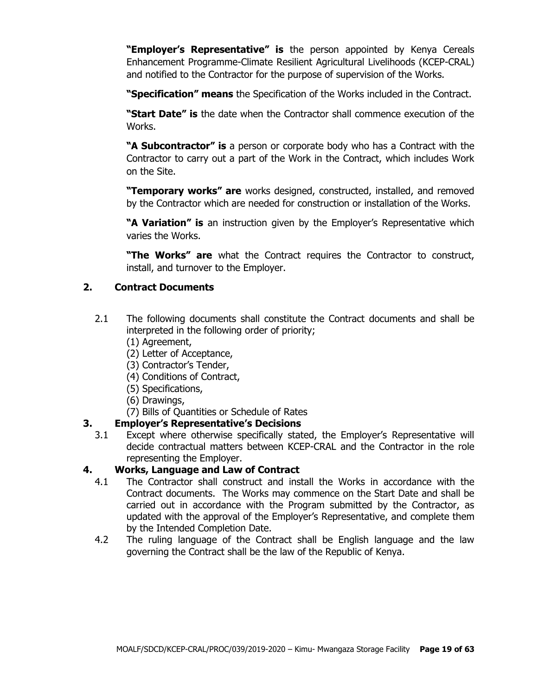**"Employer's Representative" is** the person appointed by Kenya Cereals Enhancement Programme-Climate Resilient Agricultural Livelihoods (KCEP-CRAL) and notified to the Contractor for the purpose of supervision of the Works.

**"Specification" means** the Specification of the Works included in the Contract.

**"Start Date" is** the date when the Contractor shall commence execution of the Works.

**"A Subcontractor" is** a person or corporate body who has a Contract with the Contractor to carry out a part of the Work in the Contract, which includes Work on the Site.

**"Temporary works" are** works designed, constructed, installed, and removed by the Contractor which are needed for construction or installation of the Works.

**"A Variation" is** an instruction given by the Employer's Representative which varies the Works.

**"The Works" are** what the Contract requires the Contractor to construct, install, and turnover to the Employer.

## **2. Contract Documents**

- 2.1 The following documents shall constitute the Contract documents and shall be interpreted in the following order of priority;
	- (1) Agreement,
	- (2) Letter of Acceptance,
	- (3) Contractor's Tender,
	- (4) Conditions of Contract,
	- (5) Specifications,
	- (6) Drawings,
	- (7) Bills of Quantities or Schedule of Rates

## **3. Employer's Representative's Decisions**

3.1 Except where otherwise specifically stated, the Employer's Representative will decide contractual matters between KCEP-CRAL and the Contractor in the role representing the Employer.

#### **4. Works, Language and Law of Contract**

- 4.1 The Contractor shall construct and install the Works in accordance with the Contract documents. The Works may commence on the Start Date and shall be carried out in accordance with the Program submitted by the Contractor, as updated with the approval of the Employer's Representative, and complete them by the Intended Completion Date.
- 4.2 The ruling language of the Contract shall be English language and the law governing the Contract shall be the law of the Republic of Kenya.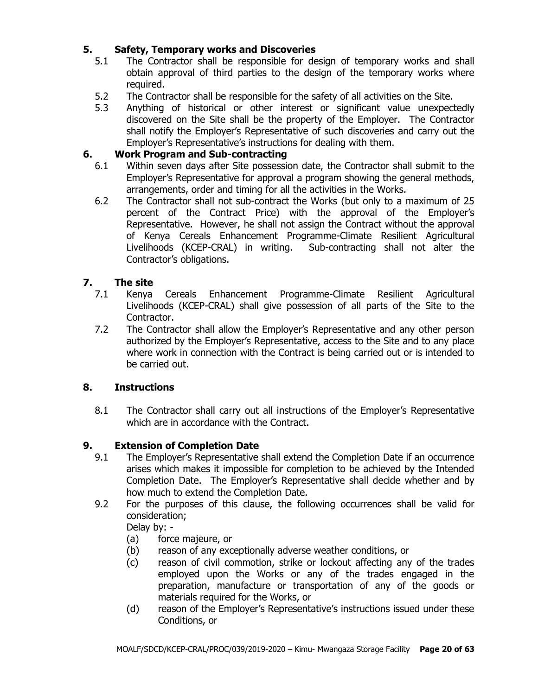## **5. Safety, Temporary works and Discoveries**

- 5.1 The Contractor shall be responsible for design of temporary works and shall obtain approval of third parties to the design of the temporary works where required.
- 5.2 The Contractor shall be responsible for the safety of all activities on the Site.
- 5.3 Anything of historical or other interest or significant value unexpectedly discovered on the Site shall be the property of the Employer. The Contractor shall notify the Employer's Representative of such discoveries and carry out the Employer's Representative's instructions for dealing with them.

#### **6. Work Program and Sub-contracting**

- 6.1 Within seven days after Site possession date, the Contractor shall submit to the Employer's Representative for approval a program showing the general methods, arrangements, order and timing for all the activities in the Works.
- 6.2 The Contractor shall not sub-contract the Works (but only to a maximum of 25 percent of the Contract Price) with the approval of the Employer's Representative. However, he shall not assign the Contract without the approval of Kenya Cereals Enhancement Programme-Climate Resilient Agricultural Livelihoods (KCEP-CRAL) in writing. Sub-contracting shall not alter the Contractor's obligations.

## **7. The site**

- 7.1 Kenya Cereals Enhancement Programme-Climate Resilient Agricultural Livelihoods (KCEP-CRAL) shall give possession of all parts of the Site to the Contractor.
- 7.2 The Contractor shall allow the Employer's Representative and any other person authorized by the Employer's Representative, access to the Site and to any place where work in connection with the Contract is being carried out or is intended to be carried out.

#### **8. Instructions**

8.1 The Contractor shall carry out all instructions of the Employer's Representative which are in accordance with the Contract.

## **9. Extension of Completion Date**

- 9.1 The Employer's Representative shall extend the Completion Date if an occurrence arises which makes it impossible for completion to be achieved by the Intended Completion Date. The Employer's Representative shall decide whether and by how much to extend the Completion Date.
- 9.2 For the purposes of this clause, the following occurrences shall be valid for consideration;

Delay by: -

- (a) force majeure, or
- (b) reason of any exceptionally adverse weather conditions, or
- (c) reason of civil commotion, strike or lockout affecting any of the trades employed upon the Works or any of the trades engaged in the preparation, manufacture or transportation of any of the goods or materials required for the Works, or
- (d) reason of the Employer's Representative's instructions issued under these Conditions, or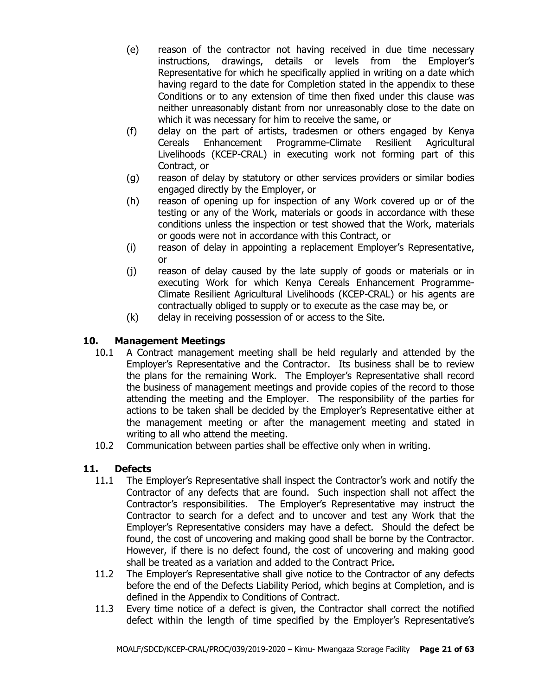- (e) reason of the contractor not having received in due time necessary instructions, drawings, details or levels from the Employer's Representative for which he specifically applied in writing on a date which having regard to the date for Completion stated in the appendix to these Conditions or to any extension of time then fixed under this clause was neither unreasonably distant from nor unreasonably close to the date on which it was necessary for him to receive the same, or
- (f) delay on the part of artists, tradesmen or others engaged by Kenya Cereals Enhancement Programme-Climate Resilient Agricultural Livelihoods (KCEP-CRAL) in executing work not forming part of this Contract, or
- (g) reason of delay by statutory or other services providers or similar bodies engaged directly by the Employer, or
- (h) reason of opening up for inspection of any Work covered up or of the testing or any of the Work, materials or goods in accordance with these conditions unless the inspection or test showed that the Work, materials or goods were not in accordance with this Contract, or
- (i) reason of delay in appointing a replacement Employer's Representative, or
- (j) reason of delay caused by the late supply of goods or materials or in executing Work for which Kenya Cereals Enhancement Programme-Climate Resilient Agricultural Livelihoods (KCEP-CRAL) or his agents are contractually obliged to supply or to execute as the case may be, or
- (k) delay in receiving possession of or access to the Site.

## **10. Management Meetings**

- 10.1 A Contract management meeting shall be held regularly and attended by the Employer's Representative and the Contractor. Its business shall be to review the plans for the remaining Work. The Employer's Representative shall record the business of management meetings and provide copies of the record to those attending the meeting and the Employer. The responsibility of the parties for actions to be taken shall be decided by the Employer's Representative either at the management meeting or after the management meeting and stated in writing to all who attend the meeting.
- 10.2 Communication between parties shall be effective only when in writing.

## **11. Defects**

- 11.1 The Employer's Representative shall inspect the Contractor's work and notify the Contractor of any defects that are found. Such inspection shall not affect the Contractor's responsibilities. The Employer's Representative may instruct the Contractor to search for a defect and to uncover and test any Work that the Employer's Representative considers may have a defect. Should the defect be found, the cost of uncovering and making good shall be borne by the Contractor. However, if there is no defect found, the cost of uncovering and making good shall be treated as a variation and added to the Contract Price.
- 11.2 The Employer's Representative shall give notice to the Contractor of any defects before the end of the Defects Liability Period, which begins at Completion, and is defined in the Appendix to Conditions of Contract.
- 11.3 Every time notice of a defect is given, the Contractor shall correct the notified defect within the length of time specified by the Employer's Representative's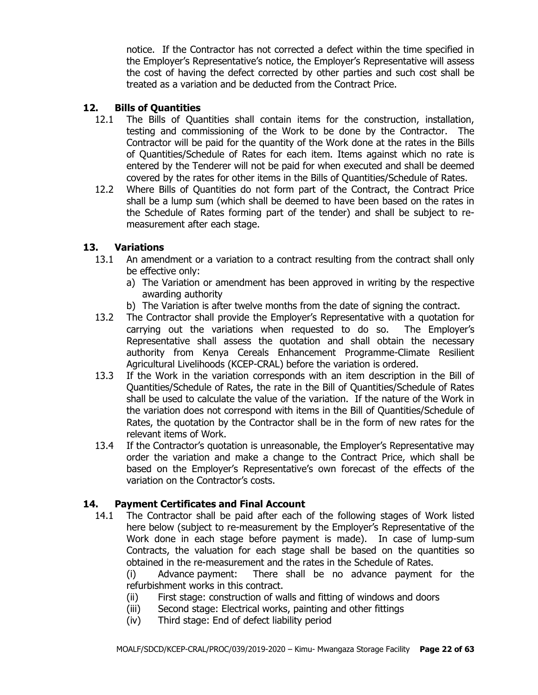notice. If the Contractor has not corrected a defect within the time specified in the Employer's Representative's notice, the Employer's Representative will assess the cost of having the defect corrected by other parties and such cost shall be treated as a variation and be deducted from the Contract Price.

#### **12. Bills of Quantities**

- 12.1 The Bills of Quantities shall contain items for the construction, installation, testing and commissioning of the Work to be done by the Contractor. The Contractor will be paid for the quantity of the Work done at the rates in the Bills of Quantities/Schedule of Rates for each item. Items against which no rate is entered by the Tenderer will not be paid for when executed and shall be deemed covered by the rates for other items in the Bills of Quantities/Schedule of Rates.
- 12.2 Where Bills of Quantities do not form part of the Contract, the Contract Price shall be a lump sum (which shall be deemed to have been based on the rates in the Schedule of Rates forming part of the tender) and shall be subject to remeasurement after each stage.

#### **13. Variations**

- 13.1 An amendment or a variation to a contract resulting from the contract shall only be effective only:
	- a) The Variation or amendment has been approved in writing by the respective awarding authority
	- b) The Variation is after twelve months from the date of signing the contract.
- 13.2 The Contractor shall provide the Employer's Representative with a quotation for carrying out the variations when requested to do so. The Employer's Representative shall assess the quotation and shall obtain the necessary authority from Kenya Cereals Enhancement Programme-Climate Resilient Agricultural Livelihoods (KCEP-CRAL) before the variation is ordered.
- 13.3 If the Work in the variation corresponds with an item description in the Bill of Quantities/Schedule of Rates, the rate in the Bill of Quantities/Schedule of Rates shall be used to calculate the value of the variation. If the nature of the Work in the variation does not correspond with items in the Bill of Quantities/Schedule of Rates, the quotation by the Contractor shall be in the form of new rates for the relevant items of Work.
- 13.4 If the Contractor's quotation is unreasonable, the Employer's Representative may order the variation and make a change to the Contract Price, which shall be based on the Employer's Representative's own forecast of the effects of the variation on the Contractor's costs.

#### **14. Payment Certificates and Final Account**

14.1 The Contractor shall be paid after each of the following stages of Work listed here below (subject to re-measurement by the Employer's Representative of the Work done in each stage before payment is made). In case of lump-sum Contracts, the valuation for each stage shall be based on the quantities so obtained in the re-measurement and the rates in the Schedule of Rates.

(i) Advance payment: There shall be no advance payment for the refurbishment works in this contract.

- (ii) First stage: construction of walls and fitting of windows and doors
- (iii) Second stage: Electrical works, painting and other fittings
- (iv) Third stage: End of defect liability period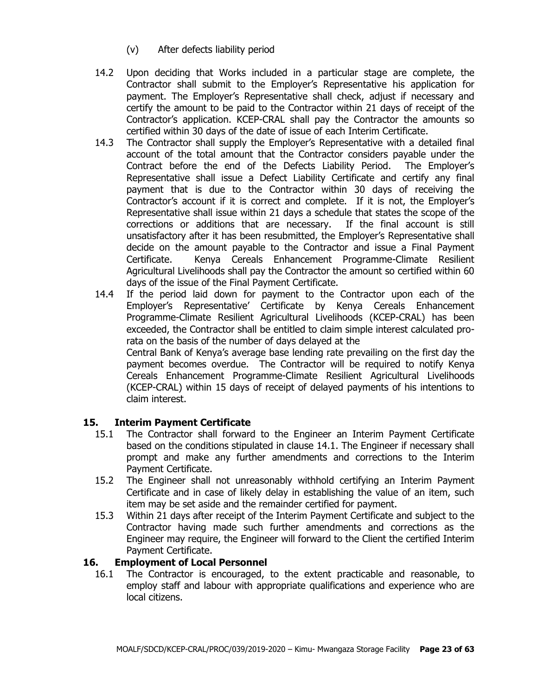- (v) After defects liability period
- 14.2 Upon deciding that Works included in a particular stage are complete, the Contractor shall submit to the Employer's Representative his application for payment. The Employer's Representative shall check, adjust if necessary and certify the amount to be paid to the Contractor within 21 days of receipt of the Contractor's application. KCEP-CRAL shall pay the Contractor the amounts so certified within 30 days of the date of issue of each Interim Certificate.
- 14.3 The Contractor shall supply the Employer's Representative with a detailed final account of the total amount that the Contractor considers payable under the Contract before the end of the Defects Liability Period. The Employer's Representative shall issue a Defect Liability Certificate and certify any final payment that is due to the Contractor within 30 days of receiving the Contractor's account if it is correct and complete. If it is not, the Employer's Representative shall issue within 21 days a schedule that states the scope of the corrections or additions that are necessary. If the final account is still unsatisfactory after it has been resubmitted, the Employer's Representative shall decide on the amount payable to the Contractor and issue a Final Payment Certificate. Kenya Cereals Enhancement Programme-Climate Resilient Agricultural Livelihoods shall pay the Contractor the amount so certified within 60 days of the issue of the Final Payment Certificate.
- 14.4 If the period laid down for payment to the Contractor upon each of the Employer's Representative' Certificate by Kenya Cereals Enhancement Programme-Climate Resilient Agricultural Livelihoods (KCEP-CRAL) has been exceeded, the Contractor shall be entitled to claim simple interest calculated prorata on the basis of the number of days delayed at the Central Bank of Kenya's average base lending rate prevailing on the first day the payment becomes overdue. The Contractor will be required to notify Kenya Cereals Enhancement Programme-Climate Resilient Agricultural Livelihoods (KCEP-CRAL) within 15 days of receipt of delayed payments of his intentions to claim interest.

#### **15. Interim Payment Certificate**

- 15.1 The Contractor shall forward to the Engineer an Interim Payment Certificate based on the conditions stipulated in clause 14.1. The Engineer if necessary shall prompt and make any further amendments and corrections to the Interim Payment Certificate.
- 15.2 The Engineer shall not unreasonably withhold certifying an Interim Payment Certificate and in case of likely delay in establishing the value of an item, such item may be set aside and the remainder certified for payment.
- 15.3 Within 21 days after receipt of the Interim Payment Certificate and subject to the Contractor having made such further amendments and corrections as the Engineer may require, the Engineer will forward to the Client the certified Interim Payment Certificate.

## **16. Employment of Local Personnel**

16.1 The Contractor is encouraged, to the extent practicable and reasonable, to employ staff and labour with appropriate qualifications and experience who are local citizens.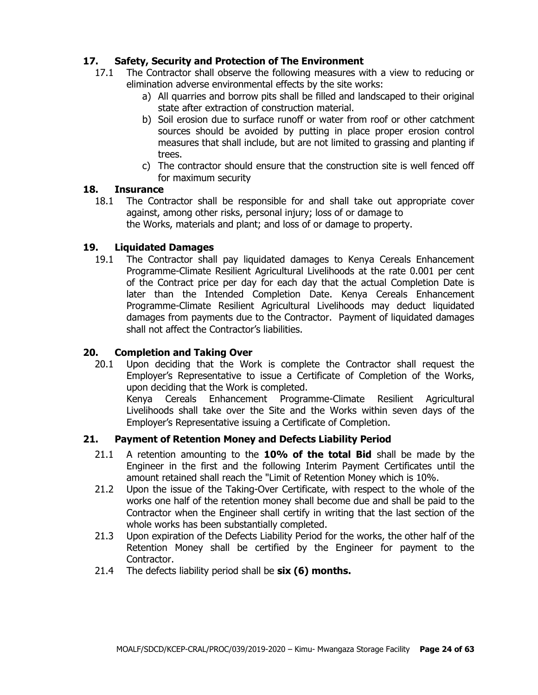## **17. Safety, Security and Protection of The Environment**

- 17.1 The Contractor shall observe the following measures with a view to reducing or elimination adverse environmental effects by the site works:
	- a) All quarries and borrow pits shall be filled and landscaped to their original state after extraction of construction material.
	- b) Soil erosion due to surface runoff or water from roof or other catchment sources should be avoided by putting in place proper erosion control measures that shall include, but are not limited to grassing and planting if trees.
	- c) The contractor should ensure that the construction site is well fenced off for maximum security

#### **18. Insurance**

18.1 The Contractor shall be responsible for and shall take out appropriate cover against, among other risks, personal injury; loss of or damage to the Works, materials and plant; and loss of or damage to property.

#### **19. Liquidated Damages**

19.1 The Contractor shall pay liquidated damages to Kenya Cereals Enhancement Programme-Climate Resilient Agricultural Livelihoods at the rate 0.001 per cent of the Contract price per day for each day that the actual Completion Date is later than the Intended Completion Date. Kenya Cereals Enhancement Programme-Climate Resilient Agricultural Livelihoods may deduct liquidated damages from payments due to the Contractor. Payment of liquidated damages shall not affect the Contractor's liabilities.

#### **20. Completion and Taking Over**

20.1 Upon deciding that the Work is complete the Contractor shall request the Employer's Representative to issue a Certificate of Completion of the Works, upon deciding that the Work is completed.

Kenya Cereals Enhancement Programme-Climate Resilient Agricultural Livelihoods shall take over the Site and the Works within seven days of the Employer's Representative issuing a Certificate of Completion.

#### **21. Payment of Retention Money and Defects Liability Period**

- 21.1 A retention amounting to the **10% of the total Bid** shall be made by the Engineer in the first and the following Interim Payment Certificates until the amount retained shall reach the "Limit of Retention Money which is 10%.
- 21.2 Upon the issue of the Taking-Over Certificate, with respect to the whole of the works one half of the retention money shall become due and shall be paid to the Contractor when the Engineer shall certify in writing that the last section of the whole works has been substantially completed.
- 21.3 Upon expiration of the Defects Liability Period for the works, the other half of the Retention Money shall be certified by the Engineer for payment to the Contractor.
- 21.4 The defects liability period shall be **six (6) months.**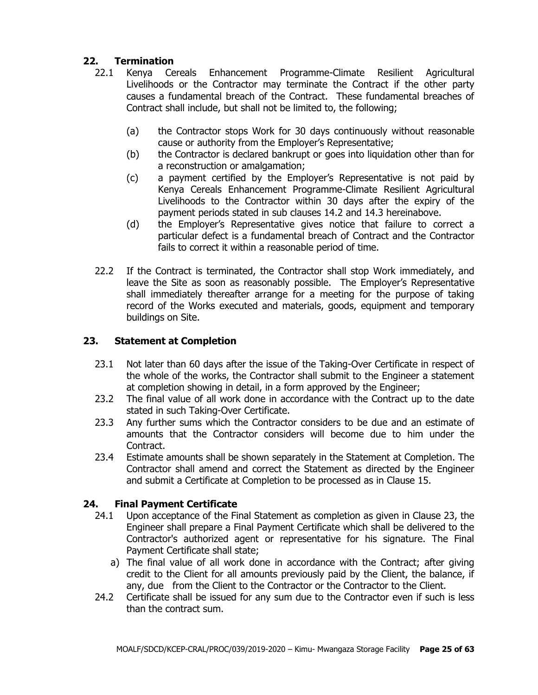## **22. Termination**

- 22.1 Kenya Cereals Enhancement Programme-Climate Resilient Agricultural Livelihoods or the Contractor may terminate the Contract if the other party causes a fundamental breach of the Contract. These fundamental breaches of Contract shall include, but shall not be limited to, the following;
	- (a) the Contractor stops Work for 30 days continuously without reasonable cause or authority from the Employer's Representative;
	- (b) the Contractor is declared bankrupt or goes into liquidation other than for a reconstruction or amalgamation;
	- (c) a payment certified by the Employer's Representative is not paid by Kenya Cereals Enhancement Programme-Climate Resilient Agricultural Livelihoods to the Contractor within 30 days after the expiry of the payment periods stated in sub clauses 14.2 and 14.3 hereinabove.
	- (d) the Employer's Representative gives notice that failure to correct a particular defect is a fundamental breach of Contract and the Contractor fails to correct it within a reasonable period of time.
- 22.2 If the Contract is terminated, the Contractor shall stop Work immediately, and leave the Site as soon as reasonably possible. The Employer's Representative shall immediately thereafter arrange for a meeting for the purpose of taking record of the Works executed and materials, goods, equipment and temporary buildings on Site.

## **23. Statement at Completion**

- 23.1 Not later than 60 days after the issue of the Taking-Over Certificate in respect of the whole of the works, the Contractor shall submit to the Engineer a statement at completion showing in detail, in a form approved by the Engineer;
- 23.2 The final value of all work done in accordance with the Contract up to the date stated in such Taking-Over Certificate.
- 23.3 Any further sums which the Contractor considers to be due and an estimate of amounts that the Contractor considers will become due to him under the Contract.
- 23.4 Estimate amounts shall be shown separately in the Statement at Completion. The Contractor shall amend and correct the Statement as directed by the Engineer and submit a Certificate at Completion to be processed as in Clause 15.

## **24. Final Payment Certificate**

- 24.1 Upon acceptance of the Final Statement as completion as given in Clause 23, the Engineer shall prepare a Final Payment Certificate which shall be delivered to the Contractor's authorized agent or representative for his signature. The Final Payment Certificate shall state;
	- a) The final value of all work done in accordance with the Contract; after giving credit to the Client for all amounts previously paid by the Client, the balance, if any, due from the Client to the Contractor or the Contractor to the Client.
- 24.2 Certificate shall be issued for any sum due to the Contractor even if such is less than the contract sum.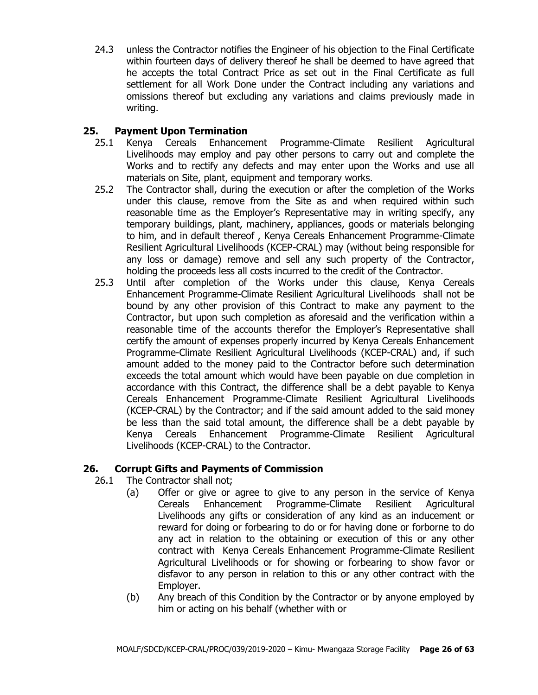24.3 unless the Contractor notifies the Engineer of his objection to the Final Certificate within fourteen days of delivery thereof he shall be deemed to have agreed that he accepts the total Contract Price as set out in the Final Certificate as full settlement for all Work Done under the Contract including any variations and omissions thereof but excluding any variations and claims previously made in writing.

## **25. Payment Upon Termination**

- 25.1 Kenya Cereals Enhancement Programme-Climate Resilient Agricultural Livelihoods may employ and pay other persons to carry out and complete the Works and to rectify any defects and may enter upon the Works and use all materials on Site, plant, equipment and temporary works.
- 25.2 The Contractor shall, during the execution or after the completion of the Works under this clause, remove from the Site as and when required within such reasonable time as the Employer's Representative may in writing specify, any temporary buildings, plant, machinery, appliances, goods or materials belonging to him, and in default thereof , Kenya Cereals Enhancement Programme-Climate Resilient Agricultural Livelihoods (KCEP-CRAL) may (without being responsible for any loss or damage) remove and sell any such property of the Contractor, holding the proceeds less all costs incurred to the credit of the Contractor.
- 25.3 Until after completion of the Works under this clause, Kenya Cereals Enhancement Programme-Climate Resilient Agricultural Livelihoods shall not be bound by any other provision of this Contract to make any payment to the Contractor, but upon such completion as aforesaid and the verification within a reasonable time of the accounts therefor the Employer's Representative shall certify the amount of expenses properly incurred by Kenya Cereals Enhancement Programme-Climate Resilient Agricultural Livelihoods (KCEP-CRAL) and, if such amount added to the money paid to the Contractor before such determination exceeds the total amount which would have been payable on due completion in accordance with this Contract, the difference shall be a debt payable to Kenya Cereals Enhancement Programme-Climate Resilient Agricultural Livelihoods (KCEP-CRAL) by the Contractor; and if the said amount added to the said money be less than the said total amount, the difference shall be a debt payable by Kenya Cereals Enhancement Programme-Climate Resilient Agricultural Livelihoods (KCEP-CRAL) to the Contractor.

## **26. Corrupt Gifts and Payments of Commission**

- 26.1 The Contractor shall not;
	- (a) Offer or give or agree to give to any person in the service of Kenya Cereals Enhancement Programme-Climate Resilient Agricultural Livelihoods any gifts or consideration of any kind as an inducement or reward for doing or forbearing to do or for having done or forborne to do any act in relation to the obtaining or execution of this or any other contract with Kenya Cereals Enhancement Programme-Climate Resilient Agricultural Livelihoods or for showing or forbearing to show favor or disfavor to any person in relation to this or any other contract with the Employer.
	- (b) Any breach of this Condition by the Contractor or by anyone employed by him or acting on his behalf (whether with or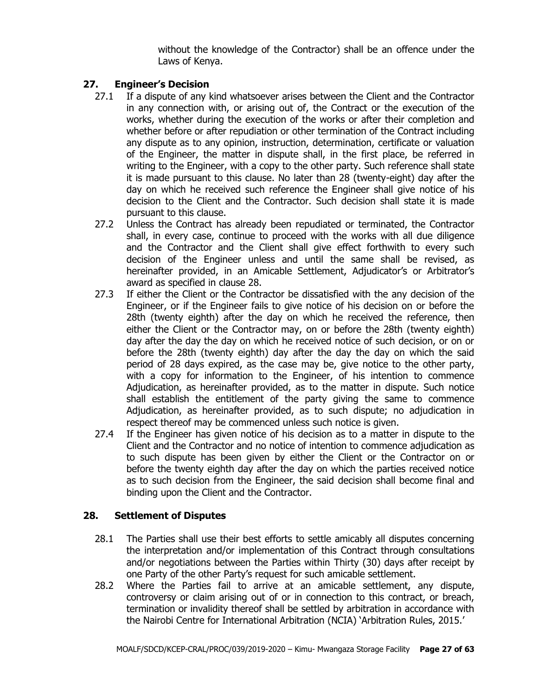without the knowledge of the Contractor) shall be an offence under the Laws of Kenya.

## **27. Engineer's Decision**

- 27.1 If a dispute of any kind whatsoever arises between the Client and the Contractor in any connection with, or arising out of, the Contract or the execution of the works, whether during the execution of the works or after their completion and whether before or after repudiation or other termination of the Contract including any dispute as to any opinion, instruction, determination, certificate or valuation of the Engineer, the matter in dispute shall, in the first place, be referred in writing to the Engineer, with a copy to the other party. Such reference shall state it is made pursuant to this clause. No later than 28 (twenty-eight) day after the day on which he received such reference the Engineer shall give notice of his decision to the Client and the Contractor. Such decision shall state it is made pursuant to this clause.
- 27.2 Unless the Contract has already been repudiated or terminated, the Contractor shall, in every case, continue to proceed with the works with all due diligence and the Contractor and the Client shall give effect forthwith to every such decision of the Engineer unless and until the same shall be revised, as hereinafter provided, in an Amicable Settlement, Adjudicator's or Arbitrator's award as specified in clause 28.
- 27.3 If either the Client or the Contractor be dissatisfied with the any decision of the Engineer, or if the Engineer fails to give notice of his decision on or before the 28th (twenty eighth) after the day on which he received the reference, then either the Client or the Contractor may, on or before the 28th (twenty eighth) day after the day the day on which he received notice of such decision, or on or before the 28th (twenty eighth) day after the day the day on which the said period of 28 days expired, as the case may be, give notice to the other party, with a copy for information to the Engineer, of his intention to commence Adjudication, as hereinafter provided, as to the matter in dispute. Such notice shall establish the entitlement of the party giving the same to commence Adjudication, as hereinafter provided, as to such dispute; no adjudication in respect thereof may be commenced unless such notice is given.
- 27.4 If the Engineer has given notice of his decision as to a matter in dispute to the Client and the Contractor and no notice of intention to commence adjudication as to such dispute has been given by either the Client or the Contractor on or before the twenty eighth day after the day on which the parties received notice as to such decision from the Engineer, the said decision shall become final and binding upon the Client and the Contractor.

## **28. Settlement of Disputes**

- 28.1 The Parties shall use their best efforts to settle amicably all disputes concerning the interpretation and/or implementation of this Contract through consultations and/or negotiations between the Parties within Thirty (30) days after receipt by one Party of the other Party's request for such amicable settlement.
- 28.2 Where the Parties fail to arrive at an amicable settlement, any dispute, controversy or claim arising out of or in connection to this contract, or breach, termination or invalidity thereof shall be settled by arbitration in accordance with the Nairobi Centre for International Arbitration (NCIA) 'Arbitration Rules, 2015.'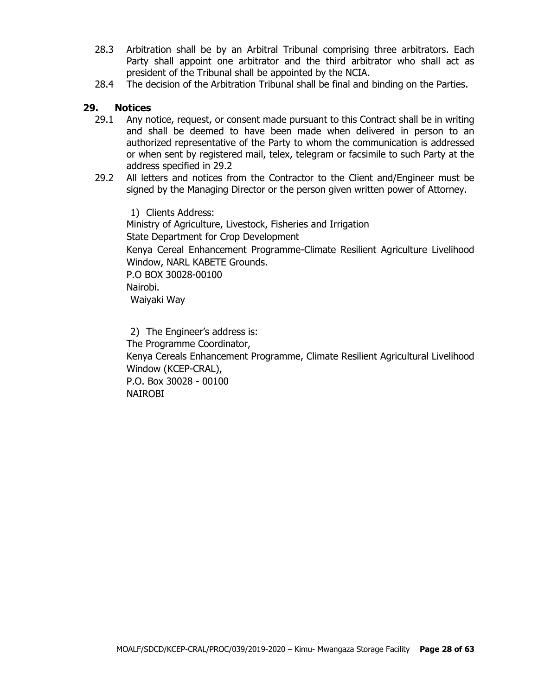- 28.3 Arbitration shall be by an Arbitral Tribunal comprising three arbitrators. Each Party shall appoint one arbitrator and the third arbitrator who shall act as president of the Tribunal shall be appointed by the NCIA.
- 28.4 The decision of the Arbitration Tribunal shall be final and binding on the Parties.

#### **29. Notices**

- 29.1 Any notice, request, or consent made pursuant to this Contract shall be in writing and shall be deemed to have been made when delivered in person to an authorized representative of the Party to whom the communication is addressed or when sent by registered mail, telex, telegram or facsimile to such Party at the address specified in 29.2
- 29.2 All letters and notices from the Contractor to the Client and/Engineer must be signed by the Managing Director or the person given written power of Attorney.

1) Clients Address: Ministry of Agriculture, Livestock, Fisheries and Irrigation State Department for Crop Development Kenya Cereal Enhancement Programme-Climate Resilient Agriculture Livelihood Window, NARL KABETE Grounds. P.O BOX 30028-00100 Nairobi. Waiyaki Way

2) The Engineer's address is: The Programme Coordinator, Kenya Cereals Enhancement Programme, Climate Resilient Agricultural Livelihood Window (KCEP-CRAL), P.O. Box 30028 - 00100 NAIROBI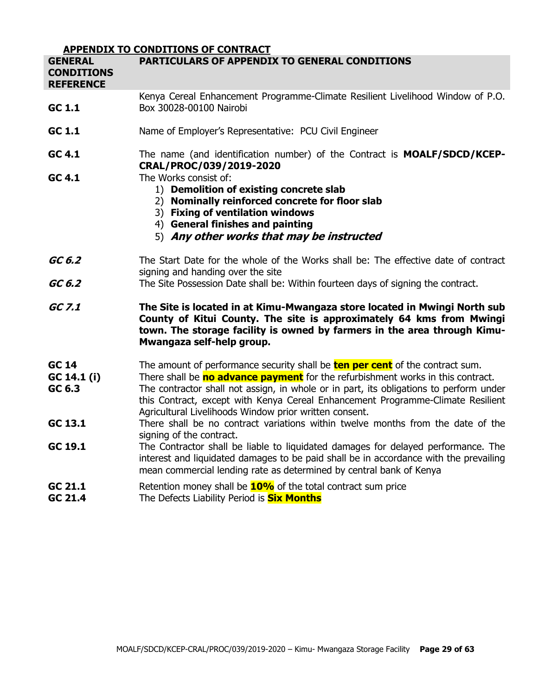|                                                         | <b>APPENDIX TO CONDITIONS OF CONTRACT</b>                                                                                                                                                                                                                                                                                                                                                                      |
|---------------------------------------------------------|----------------------------------------------------------------------------------------------------------------------------------------------------------------------------------------------------------------------------------------------------------------------------------------------------------------------------------------------------------------------------------------------------------------|
| <b>GENERAL</b><br><b>CONDITIONS</b><br><b>REFERENCE</b> | PARTICULARS OF APPENDIX TO GENERAL CONDITIONS                                                                                                                                                                                                                                                                                                                                                                  |
| GC 1.1                                                  | Kenya Cereal Enhancement Programme-Climate Resilient Livelihood Window of P.O.<br>Box 30028-00100 Nairobi                                                                                                                                                                                                                                                                                                      |
| GC 1.1                                                  | Name of Employer's Representative: PCU Civil Engineer                                                                                                                                                                                                                                                                                                                                                          |
| GC 4.1                                                  | The name (and identification number) of the Contract is <b>MOALF/SDCD/KCEP-</b><br>CRAL/PROC/039/2019-2020                                                                                                                                                                                                                                                                                                     |
| GC 4.1                                                  | The Works consist of:<br>1) Demolition of existing concrete slab<br>2) Nominally reinforced concrete for floor slab<br>3) Fixing of ventilation windows<br>4) General finishes and painting<br>5) Any other works that may be instructed                                                                                                                                                                       |
| GC 6.2                                                  | The Start Date for the whole of the Works shall be: The effective date of contract<br>signing and handing over the site                                                                                                                                                                                                                                                                                        |
| GC 6.2                                                  | The Site Possession Date shall be: Within fourteen days of signing the contract.                                                                                                                                                                                                                                                                                                                               |
| GC 7.1                                                  | The Site is located in at Kimu-Mwangaza store located in Mwingi North sub<br>County of Kitui County. The site is approximately 64 kms from Mwingi<br>town. The storage facility is owned by farmers in the area through Kimu-<br>Mwangaza self-help group.                                                                                                                                                     |
| GC 14<br>GC 14.1 (i)<br>GC 6.3                          | The amount of performance security shall be <b>ten per cent</b> of the contract sum.<br>There shall be no advance payment for the refurbishment works in this contract.<br>The contractor shall not assign, in whole or in part, its obligations to perform under<br>this Contract, except with Kenya Cereal Enhancement Programme-Climate Resilient<br>Agricultural Livelihoods Window prior written consent. |
| GC 13.1                                                 | There shall be no contract variations within twelve months from the date of the<br>signing of the contract.                                                                                                                                                                                                                                                                                                    |
| GC 19.1                                                 | The Contractor shall be liable to liquidated damages for delayed performance. The<br>interest and liquidated damages to be paid shall be in accordance with the prevailing<br>mean commercial lending rate as determined by central bank of Kenya                                                                                                                                                              |
| GC 21.1<br>GC 21.4                                      | Retention money shall be $10\%$ of the total contract sum price<br>The Defects Liability Period is <b>Six Months</b>                                                                                                                                                                                                                                                                                           |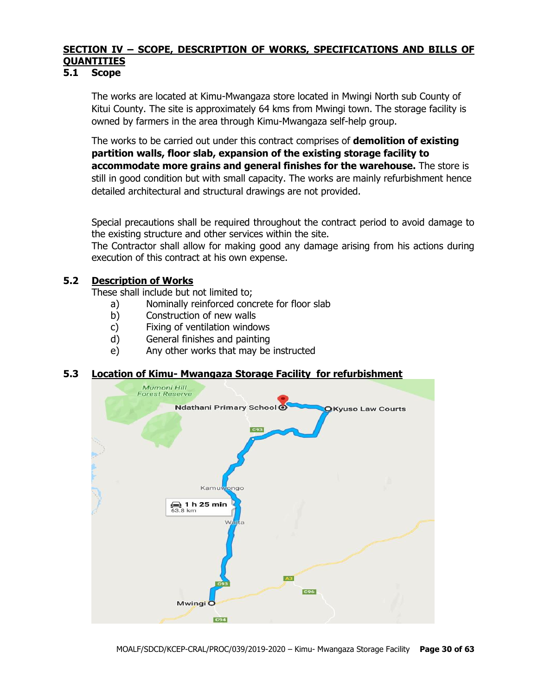## **SECTION IV – SCOPE, DESCRIPTION OF WORKS, SPECIFICATIONS AND BILLS OF QUANTITIES**

#### **5.1 Scope**

The works are located at Kimu-Mwangaza store located in Mwingi North sub County of Kitui County. The site is approximately 64 kms from Mwingi town. The storage facility is owned by farmers in the area through Kimu-Mwangaza self-help group.

The works to be carried out under this contract comprises of **demolition of existing partition walls, floor slab, expansion of the existing storage facility to accommodate more grains and general finishes for the warehouse.** The store is still in good condition but with small capacity. The works are mainly refurbishment hence detailed architectural and structural drawings are not provided.

Special precautions shall be required throughout the contract period to avoid damage to the existing structure and other services within the site.

The Contractor shall allow for making good any damage arising from his actions during execution of this contract at his own expense.

#### **5.2 Description of Works**

These shall include but not limited to;

- a) Nominally reinforced concrete for floor slab
- b) Construction of new walls
- c) Fixing of ventilation windows
- d) General finishes and painting
- e) Any other works that may be instructed

#### **5.3 Location of Kimu- Mwangaza Storage Facility for refurbishment**

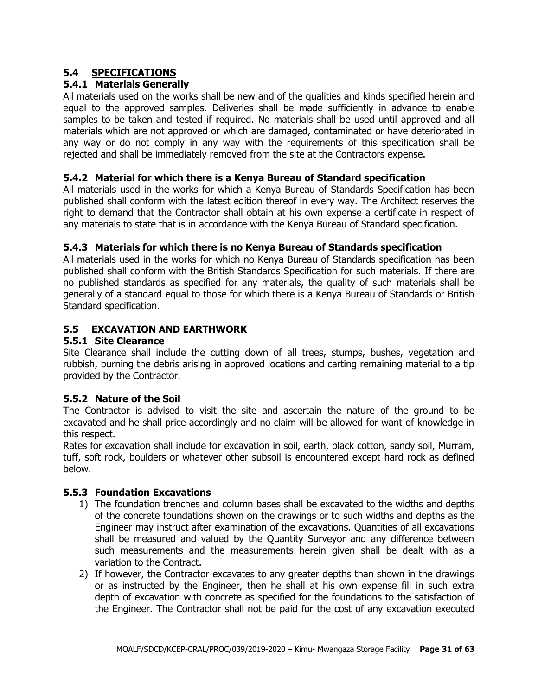## **5.4 SPECIFICATIONS**

#### **5.4.1 Materials Generally**

All materials used on the works shall be new and of the qualities and kinds specified herein and equal to the approved samples. Deliveries shall be made sufficiently in advance to enable samples to be taken and tested if required. No materials shall be used until approved and all materials which are not approved or which are damaged, contaminated or have deteriorated in any way or do not comply in any way with the requirements of this specification shall be rejected and shall be immediately removed from the site at the Contractors expense.

#### **5.4.2 Material for which there is a Kenya Bureau of Standard specification**

All materials used in the works for which a Kenya Bureau of Standards Specification has been published shall conform with the latest edition thereof in every way. The Architect reserves the right to demand that the Contractor shall obtain at his own expense a certificate in respect of any materials to state that is in accordance with the Kenya Bureau of Standard specification.

#### **5.4.3 Materials for which there is no Kenya Bureau of Standards specification**

All materials used in the works for which no Kenya Bureau of Standards specification has been published shall conform with the British Standards Specification for such materials. If there are no published standards as specified for any materials, the quality of such materials shall be generally of a standard equal to those for which there is a Kenya Bureau of Standards or British Standard specification.

#### **5.5 EXCAVATION AND EARTHWORK**

#### **5.5.1 Site Clearance**

Site Clearance shall include the cutting down of all trees, stumps, bushes, vegetation and rubbish, burning the debris arising in approved locations and carting remaining material to a tip provided by the Contractor.

#### **5.5.2 Nature of the Soil**

The Contractor is advised to visit the site and ascertain the nature of the ground to be excavated and he shall price accordingly and no claim will be allowed for want of knowledge in this respect.

Rates for excavation shall include for excavation in soil, earth, black cotton, sandy soil, Murram, tuff, soft rock, boulders or whatever other subsoil is encountered except hard rock as defined below.

#### **5.5.3 Foundation Excavations**

- 1) The foundation trenches and column bases shall be excavated to the widths and depths of the concrete foundations shown on the drawings or to such widths and depths as the Engineer may instruct after examination of the excavations. Quantities of all excavations shall be measured and valued by the Quantity Surveyor and any difference between such measurements and the measurements herein given shall be dealt with as a variation to the Contract.
- 2) If however, the Contractor excavates to any greater depths than shown in the drawings or as instructed by the Engineer, then he shall at his own expense fill in such extra depth of excavation with concrete as specified for the foundations to the satisfaction of the Engineer. The Contractor shall not be paid for the cost of any excavation executed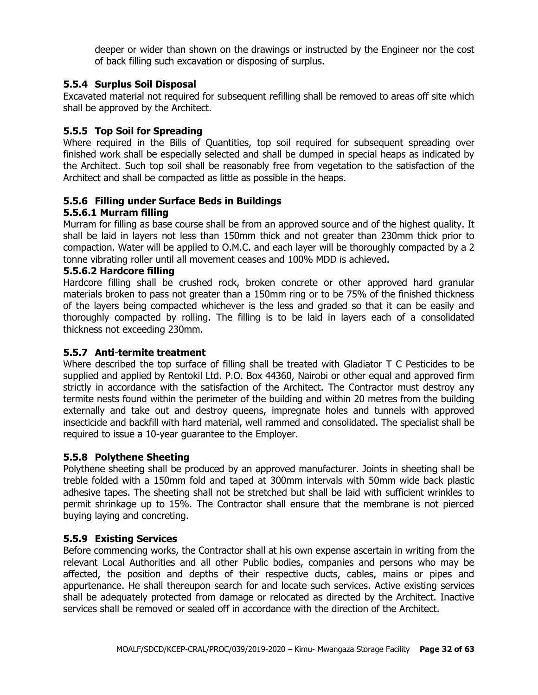deeper or wider than shown on the drawings or instructed by the Engineer nor the cost of back filling such excavation or disposing of surplus.

#### **5.5.4 Surplus Soil Disposal**

Excavated material not required for subsequent refilling shall be removed to areas off site which shall be approved by the Architect.

## **5.5.5 Top Soil for Spreading**

Where required in the Bills of Quantities, top soil required for subsequent spreading over finished work shall be especially selected and shall be dumped in special heaps as indicated by the Architect. Such top soil shall be reasonably free from vegetation to the satisfaction of the Architect and shall be compacted as little as possible in the heaps.

## **5.5.6 Filling under Surface Beds in Buildings**

## **5.5.6.1 Murram filling**

Murram for filling as base course shall be from an approved source and of the highest quality. It shall be laid in layers not less than 150mm thick and not greater than 230mm thick prior to compaction. Water will be applied to O.M.C. and each layer will be thoroughly compacted by a 2 tonne vibrating roller until all movement ceases and 100% MDD is achieved.

#### **5.5.6.2 Hardcore filling**

Hardcore filling shall be crushed rock, broken concrete or other approved hard granular materials broken to pass not greater than a 150mm ring or to be 75% of the finished thickness of the layers being compacted whichever is the less and graded so that it can be easily and thoroughly compacted by rolling. The filling is to be laid in layers each of a consolidated thickness not exceeding 230mm.

#### **5.5.7 Anti**-**termite treatment**

Where described the top surface of filling shall be treated with Gladiator T C Pesticides to be supplied and applied by Rentokil Ltd. P.O. Box 44360, Nairobi or other equal and approved firm strictly in accordance with the satisfaction of the Architect. The Contractor must destroy any termite nests found within the perimeter of the building and within 20 metres from the building externally and take out and destroy queens, impregnate holes and tunnels with approved insecticide and backfill with hard material, well rammed and consolidated. The specialist shall be required to issue a 10-year guarantee to the Employer.

#### **5.5.8 Polythene Sheeting**

Polythene sheeting shall be produced by an approved manufacturer. Joints in sheeting shall be treble folded with a 150mm fold and taped at 300mm intervals with 50mm wide back plastic adhesive tapes. The sheeting shall not be stretched but shall be laid with sufficient wrinkles to permit shrinkage up to 15%. The Contractor shall ensure that the membrane is not pierced buying laying and concreting.

#### **5.5.9 Existing Services**

Before commencing works, the Contractor shall at his own expense ascertain in writing from the relevant Local Authorities and all other Public bodies, companies and persons who may be affected, the position and depths of their respective ducts, cables, mains or pipes and appurtenance. He shall thereupon search for and locate such services. Active existing services shall be adequately protected from damage or relocated as directed by the Architect. Inactive services shall be removed or sealed off in accordance with the direction of the Architect.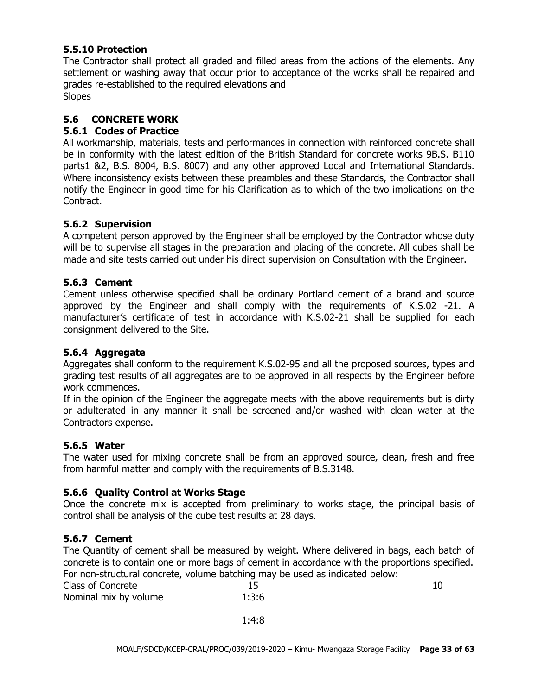#### **5.5.10 Protection**

The Contractor shall protect all graded and filled areas from the actions of the elements. Any settlement or washing away that occur prior to acceptance of the works shall be repaired and grades re-established to the required elevations and Slopes

**5.6 CONCRETE WORK**

## **5.6.1 Codes of Practice**

All workmanship, materials, tests and performances in connection with reinforced concrete shall be in conformity with the latest edition of the British Standard for concrete works 9B.S. B110 parts1 &2, B.S. 8004, B.S. 8007) and any other approved Local and International Standards. Where inconsistency exists between these preambles and these Standards, the Contractor shall notify the Engineer in good time for his Clarification as to which of the two implications on the Contract.

#### **5.6.2 Supervision**

A competent person approved by the Engineer shall be employed by the Contractor whose duty will be to supervise all stages in the preparation and placing of the concrete. All cubes shall be made and site tests carried out under his direct supervision on Consultation with the Engineer.

#### **5.6.3 Cement**

Cement unless otherwise specified shall be ordinary Portland cement of a brand and source approved by the Engineer and shall comply with the requirements of K.S.02 -21. A manufacturer's certificate of test in accordance with K.S.02-21 shall be supplied for each consignment delivered to the Site.

#### **5.6.4 Aggregate**

Aggregates shall conform to the requirement K.S.02-95 and all the proposed sources, types and grading test results of all aggregates are to be approved in all respects by the Engineer before work commences.

If in the opinion of the Engineer the aggregate meets with the above requirements but is dirty or adulterated in any manner it shall be screened and/or washed with clean water at the Contractors expense.

#### **5.6.5 Water**

The water used for mixing concrete shall be from an approved source, clean, fresh and free from harmful matter and comply with the requirements of B.S.3148.

#### **5.6.6 Quality Control at Works Stage**

Once the concrete mix is accepted from preliminary to works stage, the principal basis of control shall be analysis of the cube test results at 28 days.

#### **5.6.7 Cement**

The Quantity of cement shall be measured by weight. Where delivered in bags, each batch of concrete is to contain one or more bags of cement in accordance with the proportions specified. For non-structural concrete, volume batching may be used as indicated below:

| Class of Concrete     |       |  |
|-----------------------|-------|--|
| Nominal mix by volume | 1:3:6 |  |

1:4:8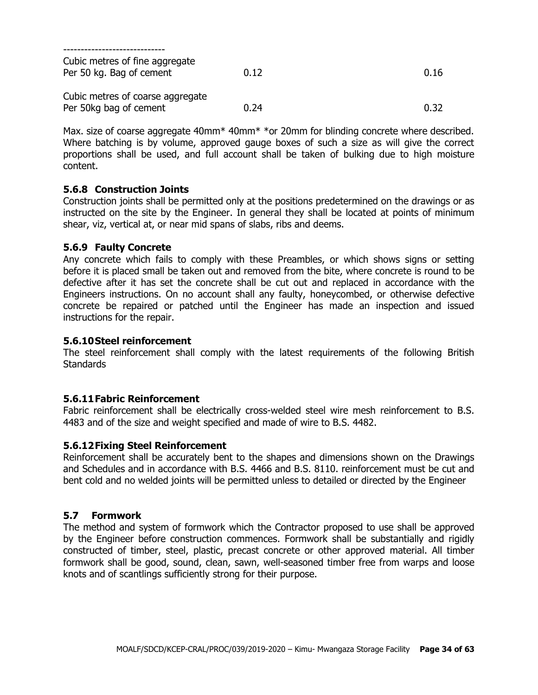| Cubic metres of fine aggregate<br>Per 50 kg. Bag of cement | 0.12 | 0.16 |
|------------------------------------------------------------|------|------|
| Cubic metres of coarse aggregate<br>Per 50kg bag of cement | 0.24 | 0.32 |

Max. size of coarse aggregate 40mm<sup>\*</sup> 40mm<sup>\*</sup> \*or 20mm for blinding concrete where described. Where batching is by volume, approved gauge boxes of such a size as will give the correct proportions shall be used, and full account shall be taken of bulking due to high moisture content.

#### **5.6.8 Construction Joints**

Construction joints shall be permitted only at the positions predetermined on the drawings or as instructed on the site by the Engineer. In general they shall be located at points of minimum shear, viz, vertical at, or near mid spans of slabs, ribs and deems.

#### **5.6.9 Faulty Concrete**

Any concrete which fails to comply with these Preambles, or which shows signs or setting before it is placed small be taken out and removed from the bite, where concrete is round to be defective after it has set the concrete shall be cut out and replaced in accordance with the Engineers instructions. On no account shall any faulty, honeycombed, or otherwise defective concrete be repaired or patched until the Engineer has made an inspection and issued instructions for the repair.

#### **5.6.10Steel reinforcement**

The steel reinforcement shall comply with the latest requirements of the following British **Standards** 

#### **5.6.11Fabric Reinforcement**

Fabric reinforcement shall be electrically cross-welded steel wire mesh reinforcement to B.S. 4483 and of the size and weight specified and made of wire to B.S. 4482.

#### **5.6.12Fixing Steel Reinforcement**

Reinforcement shall be accurately bent to the shapes and dimensions shown on the Drawings and Schedules and in accordance with B.S. 4466 and B.S. 8110. reinforcement must be cut and bent cold and no welded joints will be permitted unless to detailed or directed by the Engineer

#### **5.7 Formwork**

The method and system of formwork which the Contractor proposed to use shall be approved by the Engineer before construction commences. Formwork shall be substantially and rigidly constructed of timber, steel, plastic, precast concrete or other approved material. All timber formwork shall be good, sound, clean, sawn, well-seasoned timber free from warps and loose knots and of scantlings sufficiently strong for their purpose.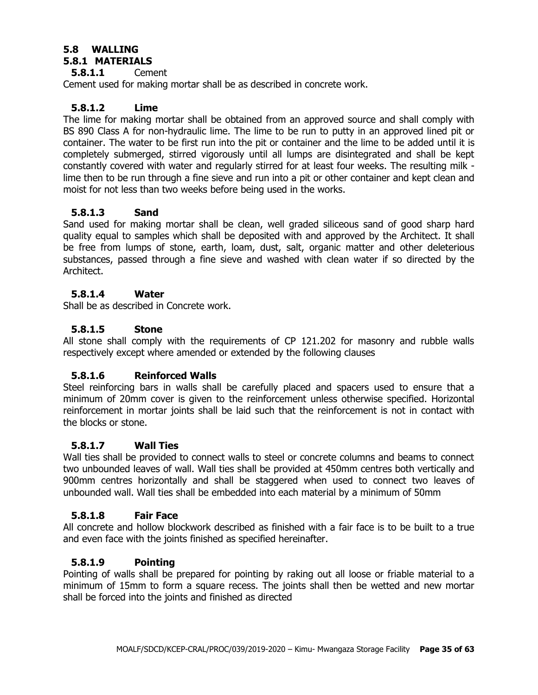#### **5.8 WALLING 5.8.1 MATERIALS**

## **5.8.1.1** Cement

Cement used for making mortar shall be as described in concrete work.

#### **5.8.1.2 Lime**

The lime for making mortar shall be obtained from an approved source and shall comply with BS 890 Class A for non-hydraulic lime. The lime to be run to putty in an approved lined pit or container. The water to be first run into the pit or container and the lime to be added until it is completely submerged, stirred vigorously until all lumps are disintegrated and shall be kept constantly covered with water and regularly stirred for at least four weeks. The resulting milk lime then to be run through a fine sieve and run into a pit or other container and kept clean and moist for not less than two weeks before being used in the works.

#### **5.8.1.3 Sand**

Sand used for making mortar shall be clean, well graded siliceous sand of good sharp hard quality equal to samples which shall be deposited with and approved by the Architect. It shall be free from lumps of stone, earth, loam, dust, salt, organic matter and other deleterious substances, passed through a fine sieve and washed with clean water if so directed by the Architect.

#### **5.8.1.4 Water**

Shall be as described in Concrete work.

#### **5.8.1.5 Stone**

All stone shall comply with the requirements of CP 121.202 for masonry and rubble walls respectively except where amended or extended by the following clauses

#### **5.8.1.6 Reinforced Walls**

Steel reinforcing bars in walls shall be carefully placed and spacers used to ensure that a minimum of 20mm cover is given to the reinforcement unless otherwise specified. Horizontal reinforcement in mortar joints shall be laid such that the reinforcement is not in contact with the blocks or stone.

#### **5.8.1.7 Wall Ties**

Wall ties shall be provided to connect walls to steel or concrete columns and beams to connect two unbounded leaves of wall. Wall ties shall be provided at 450mm centres both vertically and 900mm centres horizontally and shall be staggered when used to connect two leaves of unbounded wall. Wall ties shall be embedded into each material by a minimum of 50mm

#### **5.8.1.8 Fair Face**

All concrete and hollow blockwork described as finished with a fair face is to be built to a true and even face with the joints finished as specified hereinafter.

#### **5.8.1.9 Pointing**

Pointing of walls shall be prepared for pointing by raking out all loose or friable material to a minimum of 15mm to form a square recess. The joints shall then be wetted and new mortar shall be forced into the joints and finished as directed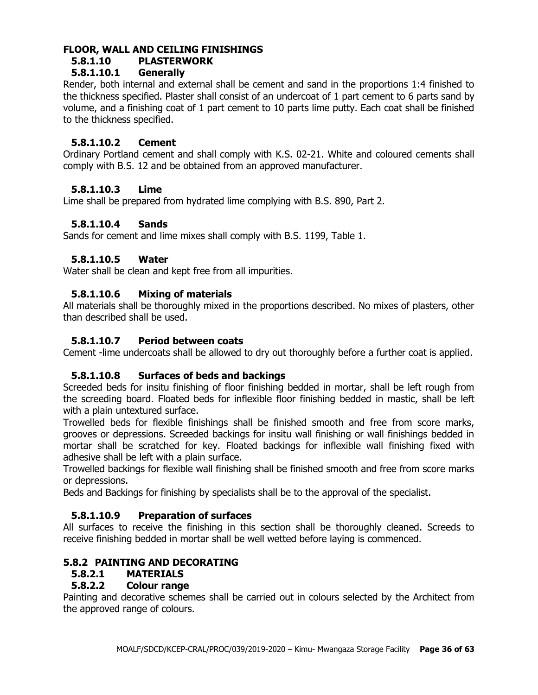## **FLOOR, WALL AND CEILING FINISHINGS**

## **5.8.1.10 PLASTERWORK**

## **5.8.1.10.1 Generally**

Render, both internal and external shall be cement and sand in the proportions 1:4 finished to the thickness specified. Plaster shall consist of an undercoat of 1 part cement to 6 parts sand by volume, and a finishing coat of 1 part cement to 10 parts lime putty. Each coat shall be finished to the thickness specified.

## **5.8.1.10.2 Cement**

Ordinary Portland cement and shall comply with K.S. 02-21. White and coloured cements shall comply with B.S. 12 and be obtained from an approved manufacturer.

#### **5.8.1.10.3 Lime**

Lime shall be prepared from hydrated lime complying with B.S. 890, Part 2.

## **5.8.1.10.4 Sands**

Sands for cement and lime mixes shall comply with B.S. 1199, Table 1.

## **5.8.1.10.5 Water**

Water shall be clean and kept free from all impurities.

## **5.8.1.10.6 Mixing of materials**

All materials shall be thoroughly mixed in the proportions described. No mixes of plasters, other than described shall be used.

#### **5.8.1.10.7 Period between coats**

Cement -lime undercoats shall be allowed to dry out thoroughly before a further coat is applied.

#### **5.8.1.10.8 Surfaces of beds and backings**

Screeded beds for insitu finishing of floor finishing bedded in mortar, shall be left rough from the screeding board. Floated beds for inflexible floor finishing bedded in mastic, shall be left with a plain untextured surface.

Trowelled beds for flexible finishings shall be finished smooth and free from score marks, grooves or depressions. Screeded backings for insitu wall finishing or wall finishings bedded in mortar shall be scratched for key. Floated backings for inflexible wall finishing fixed with adhesive shall be left with a plain surface.

Trowelled backings for flexible wall finishing shall be finished smooth and free from score marks or depressions.

Beds and Backings for finishing by specialists shall be to the approval of the specialist.

#### **5.8.1.10.9 Preparation of surfaces**

All surfaces to receive the finishing in this section shall be thoroughly cleaned. Screeds to receive finishing bedded in mortar shall be well wetted before laying is commenced.

## **5.8.2 PAINTING AND DECORATING**

#### **5.8.2.1 MATERIALS**

#### **5.8.2.2 Colour range**

Painting and decorative schemes shall be carried out in colours selected by the Architect from the approved range of colours.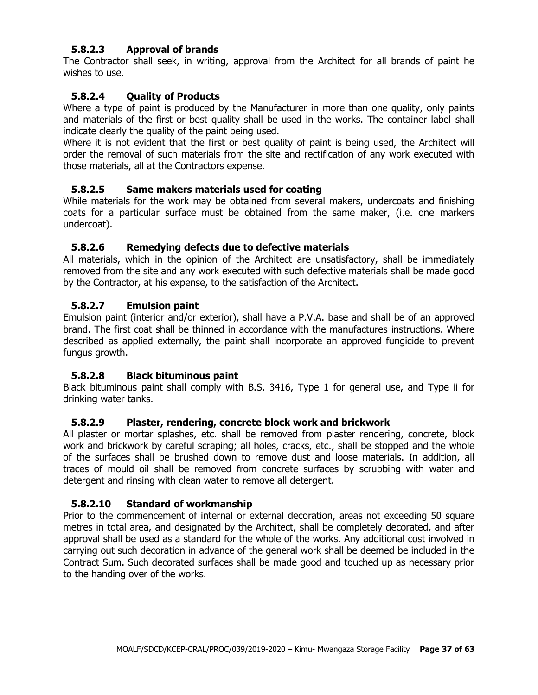#### **5.8.2.3 Approval of brands**

The Contractor shall seek, in writing, approval from the Architect for all brands of paint he wishes to use.

## **5.8.2.4 Quality of Products**

Where a type of paint is produced by the Manufacturer in more than one quality, only paints and materials of the first or best quality shall be used in the works. The container label shall indicate clearly the quality of the paint being used.

Where it is not evident that the first or best quality of paint is being used, the Architect will order the removal of such materials from the site and rectification of any work executed with those materials, all at the Contractors expense.

#### **5.8.2.5 Same makers materials used for coating**

While materials for the work may be obtained from several makers, undercoats and finishing coats for a particular surface must be obtained from the same maker, (i.e. one markers undercoat).

#### **5.8.2.6 Remedying defects due to defective materials**

All materials, which in the opinion of the Architect are unsatisfactory, shall be immediately removed from the site and any work executed with such defective materials shall be made good by the Contractor, at his expense, to the satisfaction of the Architect.

#### **5.8.2.7 Emulsion paint**

Emulsion paint (interior and/or exterior), shall have a P.V.A. base and shall be of an approved brand. The first coat shall be thinned in accordance with the manufactures instructions. Where described as applied externally, the paint shall incorporate an approved fungicide to prevent fungus growth.

#### **5.8.2.8 Black bituminous paint**

Black bituminous paint shall comply with B.S. 3416, Type 1 for general use, and Type ii for drinking water tanks.

#### **5.8.2.9 Plaster, rendering, concrete block work and brickwork**

All plaster or mortar splashes, etc. shall be removed from plaster rendering, concrete, block work and brickwork by careful scraping; all holes, cracks, etc., shall be stopped and the whole of the surfaces shall be brushed down to remove dust and loose materials. In addition, all traces of mould oil shall be removed from concrete surfaces by scrubbing with water and detergent and rinsing with clean water to remove all detergent.

#### **5.8.2.10 Standard of workmanship**

Prior to the commencement of internal or external decoration, areas not exceeding 50 square metres in total area, and designated by the Architect, shall be completely decorated, and after approval shall be used as a standard for the whole of the works. Any additional cost involved in carrying out such decoration in advance of the general work shall be deemed be included in the Contract Sum. Such decorated surfaces shall be made good and touched up as necessary prior to the handing over of the works.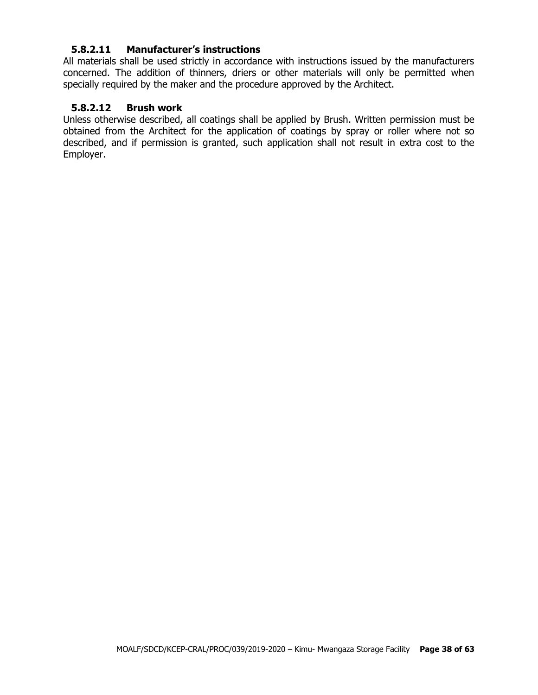#### **5.8.2.11 Manufacturer's instructions**

All materials shall be used strictly in accordance with instructions issued by the manufacturers concerned. The addition of thinners, driers or other materials will only be permitted when specially required by the maker and the procedure approved by the Architect.

#### **5.8.2.12 Brush work**

Unless otherwise described, all coatings shall be applied by Brush. Written permission must be obtained from the Architect for the application of coatings by spray or roller where not so described, and if permission is granted, such application shall not result in extra cost to the Employer.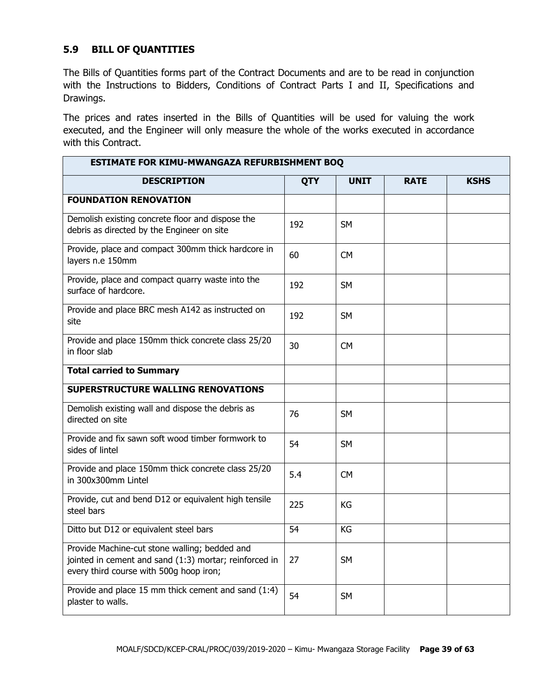## **5.9 BILL OF QUANTITIES**

The Bills of Quantities forms part of the Contract Documents and are to be read in conjunction with the Instructions to Bidders, Conditions of Contract Parts I and II, Specifications and Drawings.

The prices and rates inserted in the Bills of Quantities will be used for valuing the work executed, and the Engineer will only measure the whole of the works executed in accordance with this Contract.

| ESTIMATE FOR KIMU-MWANGAZA REFURBISHMENT BOQ                                                                                                       |            |             |             |             |  |
|----------------------------------------------------------------------------------------------------------------------------------------------------|------------|-------------|-------------|-------------|--|
| <b>DESCRIPTION</b>                                                                                                                                 | <b>QTY</b> | <b>UNIT</b> | <b>RATE</b> | <b>KSHS</b> |  |
| <b>FOUNDATION RENOVATION</b>                                                                                                                       |            |             |             |             |  |
| Demolish existing concrete floor and dispose the<br>debris as directed by the Engineer on site                                                     | 192        | <b>SM</b>   |             |             |  |
| Provide, place and compact 300mm thick hardcore in<br>layers n.e 150mm                                                                             | 60         | <b>CM</b>   |             |             |  |
| Provide, place and compact quarry waste into the<br>surface of hardcore.                                                                           | 192        | <b>SM</b>   |             |             |  |
| Provide and place BRC mesh A142 as instructed on<br>site                                                                                           | 192        | <b>SM</b>   |             |             |  |
| Provide and place 150mm thick concrete class 25/20<br>in floor slab                                                                                | 30         | <b>CM</b>   |             |             |  |
| <b>Total carried to Summary</b>                                                                                                                    |            |             |             |             |  |
| <b>SUPERSTRUCTURE WALLING RENOVATIONS</b>                                                                                                          |            |             |             |             |  |
| Demolish existing wall and dispose the debris as<br>directed on site                                                                               | 76         | <b>SM</b>   |             |             |  |
| Provide and fix sawn soft wood timber formwork to<br>sides of lintel                                                                               | 54         | <b>SM</b>   |             |             |  |
| Provide and place 150mm thick concrete class 25/20<br>in 300x300mm Lintel                                                                          | 5.4        | <b>CM</b>   |             |             |  |
| Provide, cut and bend D12 or equivalent high tensile<br>steel bars                                                                                 | 225        | KG          |             |             |  |
| Ditto but D12 or equivalent steel bars                                                                                                             | 54         | <b>KG</b>   |             |             |  |
| Provide Machine-cut stone walling; bedded and<br>jointed in cement and sand (1:3) mortar; reinforced in<br>every third course with 500g hoop iron; | 27         | <b>SM</b>   |             |             |  |
| Provide and place 15 mm thick cement and sand (1:4)<br>plaster to walls.                                                                           | 54         | <b>SM</b>   |             |             |  |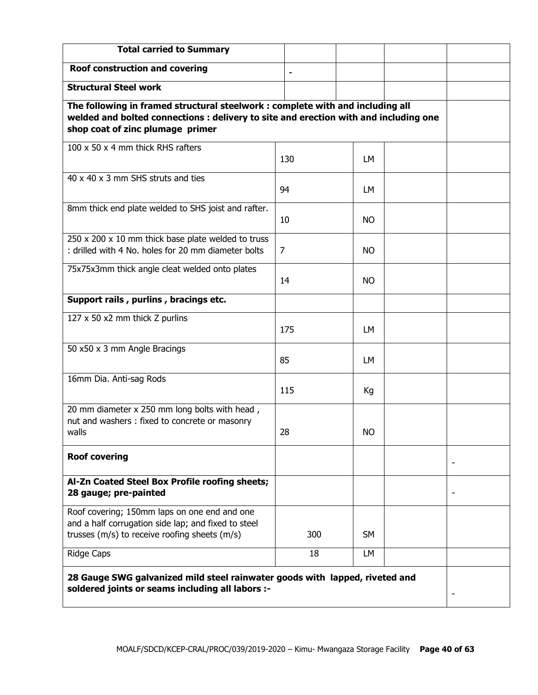| <b>Total carried to Summary</b>                                                                                                                                                                            |     |           |  |  |  |
|------------------------------------------------------------------------------------------------------------------------------------------------------------------------------------------------------------|-----|-----------|--|--|--|
| <b>Roof construction and covering</b>                                                                                                                                                                      |     |           |  |  |  |
| <b>Structural Steel work</b>                                                                                                                                                                               |     |           |  |  |  |
| The following in framed structural steelwork : complete with and including all<br>welded and bolted connections : delivery to site and erection with and including one<br>shop coat of zinc plumage primer |     |           |  |  |  |
| 100 x 50 x 4 mm thick RHS rafters                                                                                                                                                                          | 130 | LМ        |  |  |  |
| 40 x 40 x 3 mm SHS struts and ties                                                                                                                                                                         | 94  | LМ        |  |  |  |
| 8mm thick end plate welded to SHS joist and rafter.                                                                                                                                                        | 10  | NO.       |  |  |  |
| $250 \times 200 \times 10$ mm thick base plate welded to truss<br>: drilled with 4 No. holes for 20 mm diameter bolts                                                                                      | 7   | NO.       |  |  |  |
| 75x75x3mm thick angle cleat welded onto plates                                                                                                                                                             | 14  | <b>NO</b> |  |  |  |
| Support rails, purlins, bracings etc.                                                                                                                                                                      |     |           |  |  |  |
| 127 x 50 x2 mm thick Z purlins                                                                                                                                                                             | 175 | LМ        |  |  |  |
| 50 x50 x 3 mm Angle Bracings                                                                                                                                                                               | 85  | LM        |  |  |  |
| 16mm Dia. Anti-sag Rods                                                                                                                                                                                    | 115 | Кg        |  |  |  |
| 20 mm diameter x 250 mm long bolts with head,<br>nut and washers: fixed to concrete or masonry<br>walls                                                                                                    | 28  | NO.       |  |  |  |
| <b>Roof covering</b>                                                                                                                                                                                       |     |           |  |  |  |
| Al-Zn Coated Steel Box Profile roofing sheets;<br>28 gauge; pre-painted                                                                                                                                    |     |           |  |  |  |
| Roof covering; 150mm laps on one end and one<br>and a half corrugation side lap; and fixed to steel<br>trusses (m/s) to receive roofing sheets (m/s)                                                       | 300 | SM        |  |  |  |
| <b>Ridge Caps</b>                                                                                                                                                                                          | 18  | LM        |  |  |  |
| 28 Gauge SWG galvanized mild steel rainwater goods with lapped, riveted and<br>soldered joints or seams including all labors :-                                                                            |     |           |  |  |  |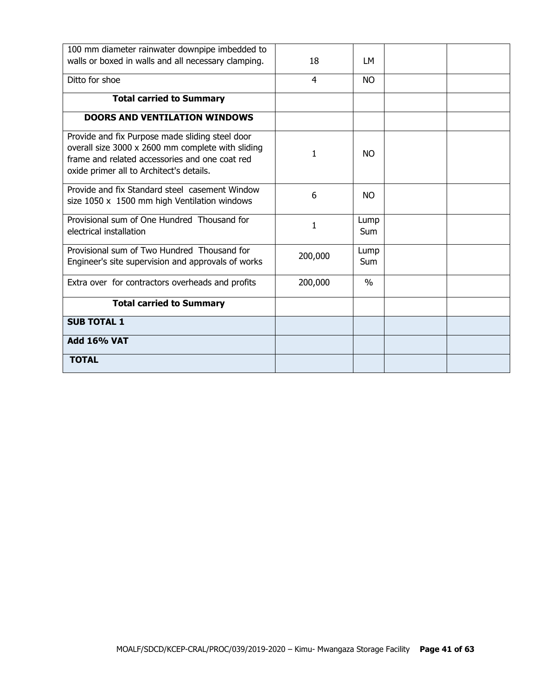| 100 mm diameter rainwater downpipe imbedded to                                                                                                                                                     |         |                    |  |
|----------------------------------------------------------------------------------------------------------------------------------------------------------------------------------------------------|---------|--------------------|--|
| walls or boxed in walls and all necessary clamping.                                                                                                                                                | 18      | LM                 |  |
| Ditto for shoe                                                                                                                                                                                     | 4       | <b>NO</b>          |  |
| <b>Total carried to Summary</b>                                                                                                                                                                    |         |                    |  |
| <b>DOORS AND VENTILATION WINDOWS</b>                                                                                                                                                               |         |                    |  |
| Provide and fix Purpose made sliding steel door<br>overall size 3000 x 2600 mm complete with sliding<br>frame and related accessories and one coat red<br>oxide primer all to Architect's details. | 1       | NO.                |  |
| Provide and fix Standard steel casement Window<br>size 1050 x 1500 mm high Ventilation windows                                                                                                     | 6       | NO.                |  |
| Provisional sum of One Hundred Thousand for<br>electrical installation                                                                                                                             | 1       | Lump<br><b>Sum</b> |  |
| Provisional sum of Two Hundred Thousand for<br>Engineer's site supervision and approvals of works                                                                                                  | 200,000 | Lump<br><b>Sum</b> |  |
| Extra over for contractors overheads and profits                                                                                                                                                   | 200,000 | $\frac{0}{0}$      |  |
| <b>Total carried to Summary</b>                                                                                                                                                                    |         |                    |  |
| <b>SUB TOTAL 1</b>                                                                                                                                                                                 |         |                    |  |
| <b>Add 16% VAT</b>                                                                                                                                                                                 |         |                    |  |
| <b>TOTAL</b>                                                                                                                                                                                       |         |                    |  |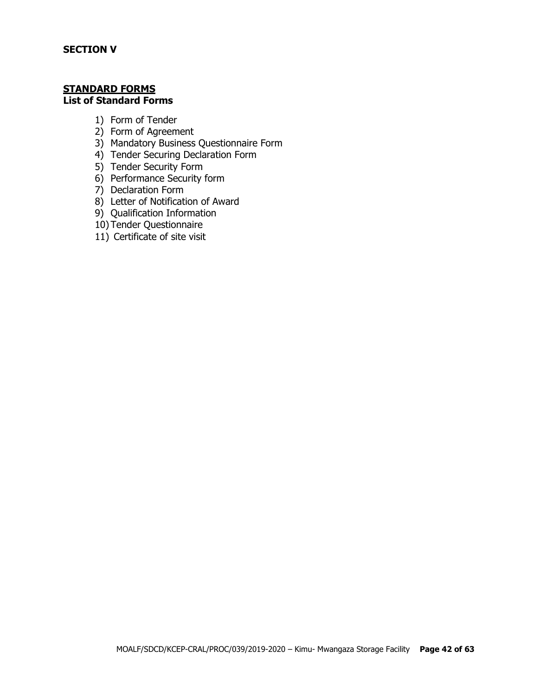#### **STANDARD FORMS List of Standard Forms**

- 1) Form of Tender
- 2) Form of Agreement
- 3) Mandatory Business Questionnaire Form
- 4) Tender Securing Declaration Form
- 5) Tender Security Form
- 6) Performance Security form
- 7) Declaration Form
- 8) Letter of Notification of Award
- 9) Qualification Information
- 10) Tender Questionnaire
- 11) Certificate of site visit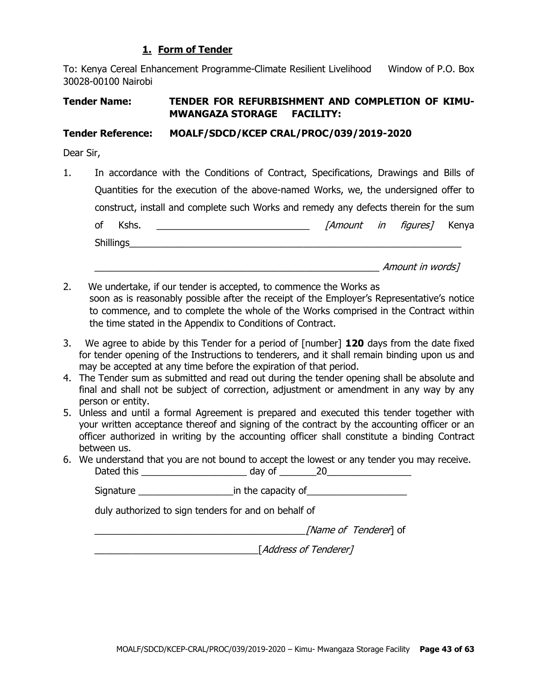#### **1. Form of Tender**

To: Kenya Cereal Enhancement Programme-Climate Resilient Livelihood Window of P.O. Box 30028-00100 Nairobi

## **Tender Name: TENDER FOR REFURBISHMENT AND COMPLETION OF KIMU-MWANGAZA STORAGE FACILITY:**

#### **Tender Reference: MOALF/SDCD/KCEP CRAL/PROC/039/2019-2020**

Dear Sir,

1. In accordance with the Conditions of Contract, Specifications, Drawings and Bills of Quantities for the execution of the above-named Works, we, the undersigned offer to construct, install and complete such Works and remedy any defects therein for the sum of Kshs. \_\_\_\_\_\_\_\_\_\_\_\_\_\_\_\_\_\_\_\_\_\_\_\_\_\_\_\_\_ [Amount in figures] Kenya Shillings\_\_\_\_\_\_\_\_\_\_\_\_\_\_\_\_\_\_\_\_\_\_\_\_\_\_\_\_\_\_\_\_\_\_\_\_\_\_\_\_\_\_\_\_\_\_\_\_\_\_\_\_\_\_\_\_\_\_\_\_\_\_\_

 $A$ mount in words]

- 2. We undertake, if our tender is accepted, to commence the Works as soon as is reasonably possible after the receipt of the Employer's Representative's notice to commence, and to complete the whole of the Works comprised in the Contract within the time stated in the Appendix to Conditions of Contract.
- 3. We agree to abide by this Tender for a period of [number] **120** days from the date fixed for tender opening of the Instructions to tenderers, and it shall remain binding upon us and may be accepted at any time before the expiration of that period.
- 4. The Tender sum as submitted and read out during the tender opening shall be absolute and final and shall not be subject of correction, adjustment or amendment in any way by any person or entity.
- 5. Unless and until a formal Agreement is prepared and executed this tender together with your written acceptance thereof and signing of the contract by the accounting officer or an officer authorized in writing by the accounting officer shall constitute a binding Contract between us.
- 6. We understand that you are not bound to accept the lowest or any tender you may receive. Dated this \_\_\_\_\_\_\_\_\_\_\_\_\_\_\_\_\_\_\_\_ day of \_\_\_\_\_\_\_20\_\_\_\_\_\_\_\_\_\_\_\_\_\_\_\_

Signature \_\_\_\_\_\_\_\_\_\_\_\_\_\_\_\_\_\_in the capacity of\_\_\_\_\_\_\_\_\_\_\_\_\_\_\_\_\_\_\_

duly authorized to sign tenders for and on behalf of

[Name of Tenderer] of

\_\_\_\_\_\_\_\_\_\_\_\_\_\_\_\_\_\_\_\_\_\_\_\_\_\_\_\_\_\_\_[Address of Tenderer]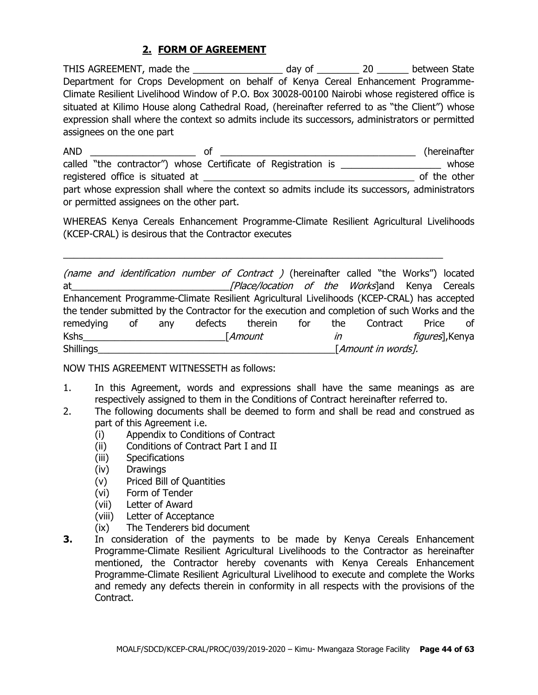## **2. FORM OF AGREEMENT**

THIS AGREEMENT, made the \_\_\_\_\_\_\_\_\_\_\_\_\_\_\_\_\_\_\_ day of \_\_\_\_\_\_\_\_\_\_ 20 \_\_\_\_\_\_\_ between State Department for Crops Development on behalf of Kenya Cereal Enhancement Programme-Climate Resilient Livelihood Window of P.O. Box 30028-00100 Nairobi whose registered office is situated at Kilimo House along Cathedral Road, (hereinafter referred to as "the Client") whose expression shall where the context so admits include its successors, administrators or permitted assignees on the one part

AND \_\_\_\_\_\_\_\_\_\_\_\_\_\_\_\_\_\_\_\_ of \_\_\_\_\_\_\_\_\_\_\_\_\_\_\_\_\_\_\_\_\_\_\_\_\_\_\_\_\_\_\_\_\_\_\_\_\_ (hereinafter called "the contractor") whose Certificate of Registration is \_\_\_\_\_\_\_\_\_\_\_\_\_\_\_\_\_\_\_\_\_\_ whose registered office is situated at \_\_\_\_\_\_\_\_\_\_\_\_\_\_\_\_\_\_\_\_\_\_\_\_\_\_\_\_\_\_\_\_\_\_\_\_\_\_\_\_ of the other part whose expression shall where the context so admits include its successors, administrators or permitted assignees on the other part.

WHEREAS Kenya Cereals Enhancement Programme-Climate Resilient Agricultural Livelihoods (KCEP-CRAL) is desirous that the Contractor executes

 $\_$  , and the set of the set of the set of the set of the set of the set of the set of the set of the set of the set of the set of the set of the set of the set of the set of the set of the set of the set of the set of th

(name and identification number of Contract ) (hereinafter called "the Works") located at\_\_\_\_\_\_\_\_\_\_\_\_\_\_\_\_\_\_\_\_\_\_\_\_\_\_\_\_\_\_[Place/location of the Works]and Kenya Cereals Enhancement Programme-Climate Resilient Agricultural Livelihoods (KCEP-CRAL) has accepted the tender submitted by the Contractor for the execution and completion of such Works and the remedying of any defects therein for the Contract Price of Kshs\_\_\_\_\_\_\_\_\_\_\_\_\_\_\_\_\_\_\_\_\_\_\_\_\_\_\_[Amount in figures],Kenya Shillings\_\_\_\_\_\_\_\_\_\_\_\_\_\_\_\_\_\_\_\_\_\_\_\_\_\_\_\_\_\_\_\_\_\_\_\_\_\_\_\_\_\_\_\_\_[Amount in words].

NOW THIS AGREEMENT WITNESSETH as follows:

- 1. In this Agreement, words and expressions shall have the same meanings as are respectively assigned to them in the Conditions of Contract hereinafter referred to.
- 2. The following documents shall be deemed to form and shall be read and construed as part of this Agreement i.e.
	- (i) Appendix to Conditions of Contract
	- (ii) Conditions of Contract Part I and II
	- (iii) Specifications
	- (iv) Drawings
	- (v) Priced Bill of Quantities
	- (vi) Form of Tender
	- (vii) Letter of Award
	- (viii) Letter of Acceptance
	- (ix) The Tenderers bid document
- **3.** In consideration of the payments to be made by Kenya Cereals Enhancement Programme-Climate Resilient Agricultural Livelihoods to the Contractor as hereinafter mentioned, the Contractor hereby covenants with Kenya Cereals Enhancement Programme-Climate Resilient Agricultural Livelihood to execute and complete the Works and remedy any defects therein in conformity in all respects with the provisions of the Contract.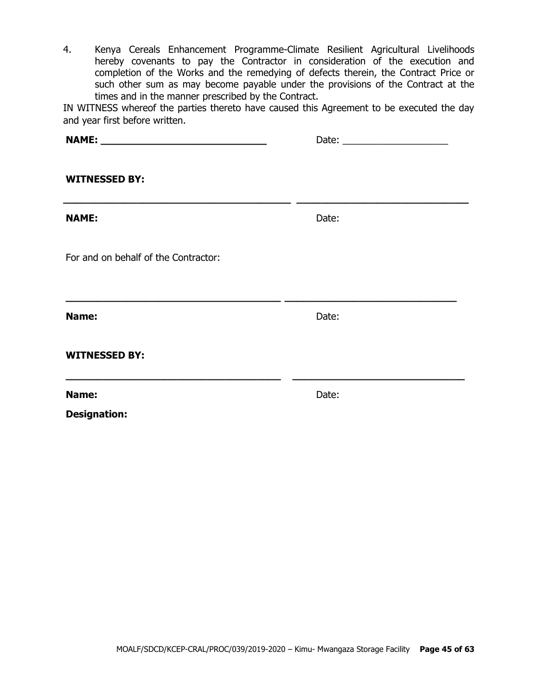4. Kenya Cereals Enhancement Programme-Climate Resilient Agricultural Livelihoods hereby covenants to pay the Contractor in consideration of the execution and completion of the Works and the remedying of defects therein, the Contract Price or such other sum as may become payable under the provisions of the Contract at the times and in the manner prescribed by the Contract.

IN WITNESS whereof the parties thereto have caused this Agreement to be executed the day and year first before written.

| <b>WITNESSED BY:</b>                                              |       |  |
|-------------------------------------------------------------------|-------|--|
| <b>NAME:</b>                                                      | Date: |  |
| For and on behalf of the Contractor:                              |       |  |
| Name:                                                             | Date: |  |
| <b>WITNESSED BY:</b>                                              |       |  |
| <u> 1980 - Johann Stoff, amerikansk politik (* 1901)</u><br>Name: | Date: |  |
| <b>Designation:</b>                                               |       |  |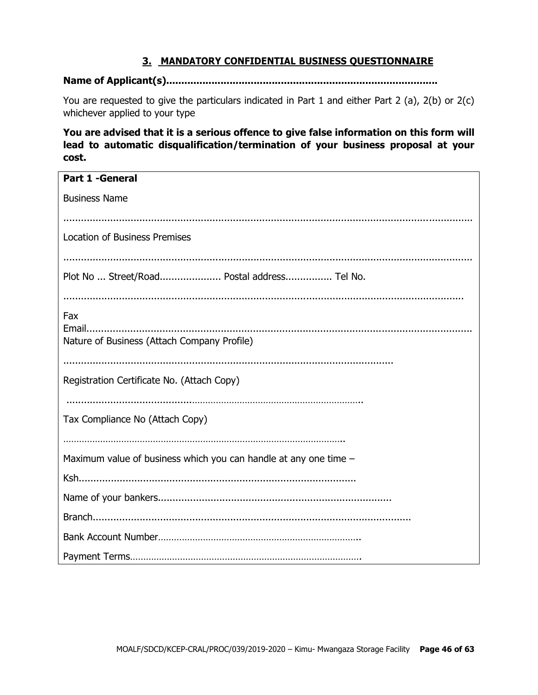## **3. MANDATORY CONFIDENTIAL BUSINESS QUESTIONNAIRE**

#### **Name of Applicant(s)..........................................................................................**

You are requested to give the particulars indicated in Part 1 and either Part 2 (a), 2(b) or 2(c) whichever applied to your type

**You are advised that it is a serious offence to give false information on this form will lead to automatic disqualification/termination of your business proposal at your cost.**

| <b>Part 1 - General</b>                                          |
|------------------------------------------------------------------|
| <b>Business Name</b>                                             |
|                                                                  |
| <b>Location of Business Premises</b>                             |
|                                                                  |
| Plot No  Street/Road Postal address Tel No.                      |
|                                                                  |
| Fax                                                              |
| Nature of Business (Attach Company Profile)                      |
|                                                                  |
| Registration Certificate No. (Attach Copy)                       |
|                                                                  |
| Tax Compliance No (Attach Copy)                                  |
|                                                                  |
| Maximum value of business which you can handle at any one time - |
|                                                                  |
|                                                                  |
|                                                                  |
|                                                                  |
|                                                                  |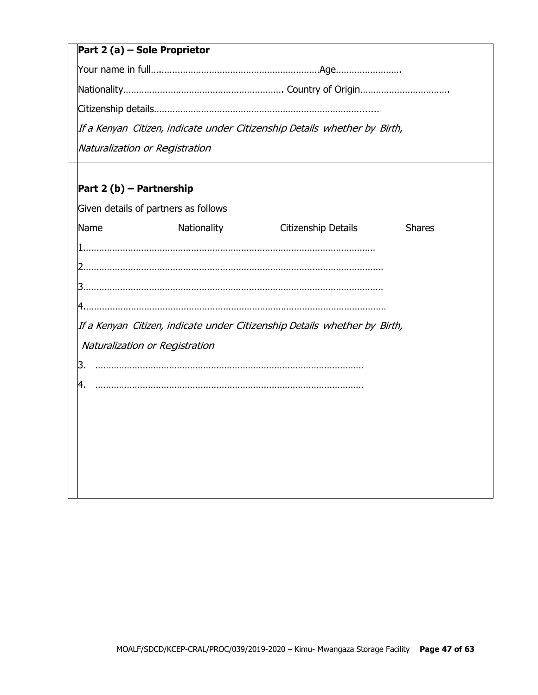## **Part 2 (a) – Sole Proprietor**

Your name in full….……………………………………………………Age…………………….

Nationality……………………………………………………. Country of Origin…………………………….

Citizenship details…………………………………………………………………….......

If <sup>a</sup> Kenyan Citizen, indicate under Citizenship Details whether by Birth,

Naturalization or Registration

## **Part 2 (b) – Partnership**

|    |      | Given details of partners as follows |                                                                           |               |
|----|------|--------------------------------------|---------------------------------------------------------------------------|---------------|
|    | Name | Nationality                          | Citizenship Details                                                       | <b>Shares</b> |
|    |      |                                      |                                                                           |               |
|    |      |                                      |                                                                           |               |
|    |      |                                      |                                                                           |               |
|    |      |                                      |                                                                           |               |
|    |      |                                      | If a Kenyan Citizen, indicate under Citizenship Details whether by Birth, |               |
|    |      | Naturalization or Registration       |                                                                           |               |
| З. |      |                                      |                                                                           |               |
| 4. |      |                                      |                                                                           |               |
|    |      |                                      |                                                                           |               |
|    |      |                                      |                                                                           |               |
|    |      |                                      |                                                                           |               |
|    |      |                                      |                                                                           |               |
|    |      |                                      |                                                                           |               |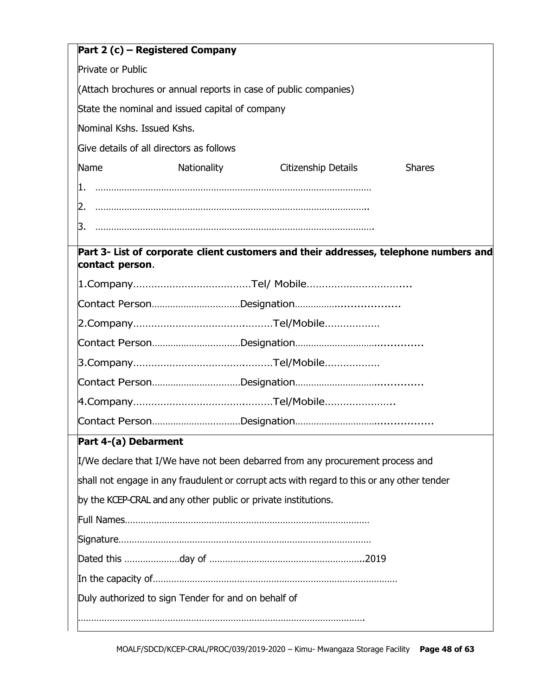|                            | Part 2 (c) – Registered Company                                  |                                                                                            |               |  |  |  |
|----------------------------|------------------------------------------------------------------|--------------------------------------------------------------------------------------------|---------------|--|--|--|
| Private or Public          |                                                                  |                                                                                            |               |  |  |  |
|                            | (Attach brochures or annual reports in case of public companies) |                                                                                            |               |  |  |  |
|                            | State the nominal and issued capital of company                  |                                                                                            |               |  |  |  |
| Nominal Kshs. Issued Kshs. |                                                                  |                                                                                            |               |  |  |  |
|                            | Give details of all directors as follows                         |                                                                                            |               |  |  |  |
| Name                       | Nationality                                                      | Citizenship Details                                                                        | <b>Shares</b> |  |  |  |
| 1.                         |                                                                  |                                                                                            |               |  |  |  |
|                            |                                                                  |                                                                                            |               |  |  |  |
| 3.                         |                                                                  |                                                                                            |               |  |  |  |
|                            |                                                                  | Part 3- List of corporate client customers and their addresses, telephone numbers and      |               |  |  |  |
| contact person.            |                                                                  |                                                                                            |               |  |  |  |
|                            |                                                                  |                                                                                            |               |  |  |  |
|                            |                                                                  |                                                                                            |               |  |  |  |
|                            |                                                                  |                                                                                            |               |  |  |  |
|                            |                                                                  |                                                                                            |               |  |  |  |
|                            |                                                                  |                                                                                            |               |  |  |  |
|                            |                                                                  |                                                                                            |               |  |  |  |
|                            |                                                                  |                                                                                            |               |  |  |  |
|                            |                                                                  |                                                                                            |               |  |  |  |
| Part 4-(a) Debarment       |                                                                  |                                                                                            |               |  |  |  |
|                            |                                                                  | I/We declare that I/We have not been debarred from any procurement process and             |               |  |  |  |
|                            |                                                                  | shall not engage in any fraudulent or corrupt acts with regard to this or any other tender |               |  |  |  |
|                            | by the KCEP-CRAL and any other public or private institutions.   |                                                                                            |               |  |  |  |
|                            |                                                                  |                                                                                            |               |  |  |  |
|                            |                                                                  |                                                                                            |               |  |  |  |
|                            |                                                                  |                                                                                            |               |  |  |  |
|                            |                                                                  |                                                                                            |               |  |  |  |
|                            | Duly authorized to sign Tender for and on behalf of              |                                                                                            |               |  |  |  |
|                            |                                                                  |                                                                                            |               |  |  |  |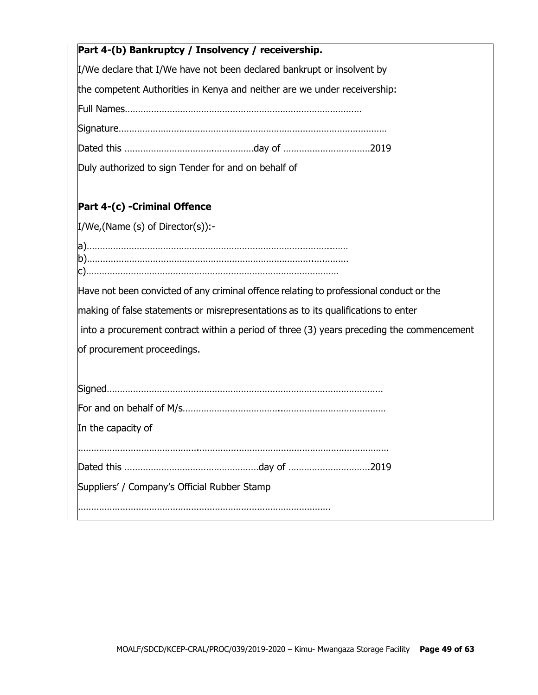| Part 4-(b) Bankruptcy / Insolvency / receivership.                                        |
|-------------------------------------------------------------------------------------------|
| I/We declare that I/We have not been declared bankrupt or insolvent by                    |
| the competent Authorities in Kenya and neither are we under receivership:                 |
|                                                                                           |
|                                                                                           |
|                                                                                           |
| Duly authorized to sign Tender for and on behalf of                                       |
| Part 4-(c) -Criminal Offence                                                              |
| $I/We$ , (Name (s) of Director(s)):-                                                      |
|                                                                                           |
|                                                                                           |
| Have not been convicted of any criminal offence relating to professional conduct or the   |
| making of false statements or misrepresentations as to its qualifications to enter        |
| into a procurement contract within a period of three (3) years preceding the commencement |
| of procurement proceedings.                                                               |
|                                                                                           |
|                                                                                           |
| In the capacity of                                                                        |
|                                                                                           |
|                                                                                           |
| Suppliers' / Company's Official Rubber Stamp                                              |
|                                                                                           |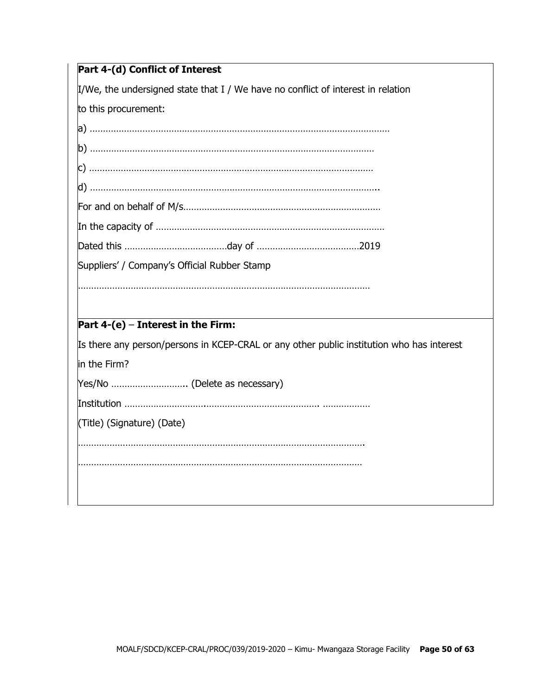$\mu$ /We, the undersigned state that I / We have no conflict of interest in relation

to this procurement:

| Suppliers' / Company's Official Rubber Stamp                                              |
|-------------------------------------------------------------------------------------------|
|                                                                                           |
|                                                                                           |
| Part $4-(e)$ – Interest in the Firm:                                                      |
| Is there any person/persons in KCEP-CRAL or any other public institution who has interest |
| in the Firm?                                                                              |
| Yes/No  (Delete as necessary)                                                             |

Institution ………………………….……………………………………. ………………

(Title) (Signature) (Date)

……………………………………………………………………………………………….

………………………………………………………………………………………………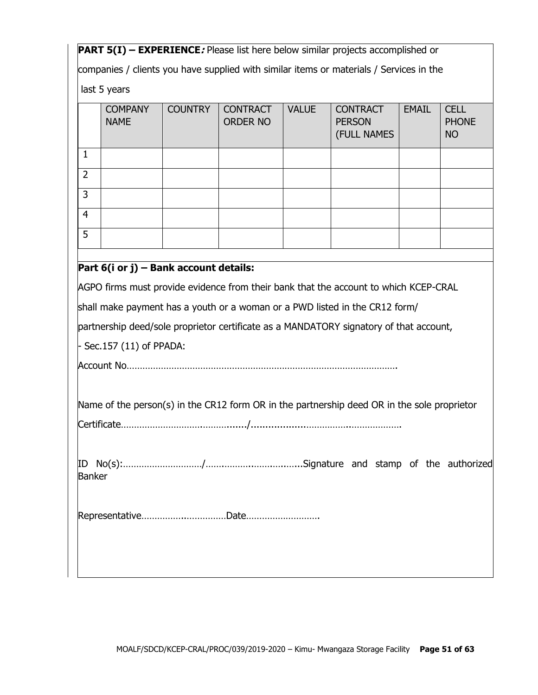**PART 5(I) – EXPERIENCE***:* Please list here below similar projects accomplished or

companies / clients you have supplied with similar items or materials / Services in the

last 5 years

|                | <b>COMPANY</b><br><b>NAME</b> | <b>COUNTRY</b> | <b>CONTRACT</b><br><b>ORDER NO</b> | <b>VALUE</b> | <b>CONTRACT</b><br><b>PERSON</b><br>(FULL NAMES | <b>EMAIL</b> | <b>CELL</b><br><b>PHONE</b><br><b>NO</b> |
|----------------|-------------------------------|----------------|------------------------------------|--------------|-------------------------------------------------|--------------|------------------------------------------|
|                |                               |                |                                    |              |                                                 |              |                                          |
| $\overline{2}$ |                               |                |                                    |              |                                                 |              |                                          |
| 3              |                               |                |                                    |              |                                                 |              |                                          |
| $\overline{4}$ |                               |                |                                    |              |                                                 |              |                                          |
| 5              |                               |                |                                    |              |                                                 |              |                                          |
|                |                               |                |                                    |              |                                                 |              |                                          |

## **Part 6(i or j) – Bank account details:**

AGPO firms must provide evidence from their bank that the account to which KCEP-CRAL

shall make payment has a youth or a woman or a PWD listed in the CR12 form/

partnership deed/sole proprietor certificate as a MANDATORY signatory of that account,

- Sec.157 (11) of PPADA:

Account No………………………………………………………………………………………….

Name of the person(s) in the CR12 form OR in the partnership deed OR in the sole proprietor

|--|

ID No(s):…………………………/…….………..…….…..…...Signature and stamp of the authorized Banker

Representative……………..……………Date……………………….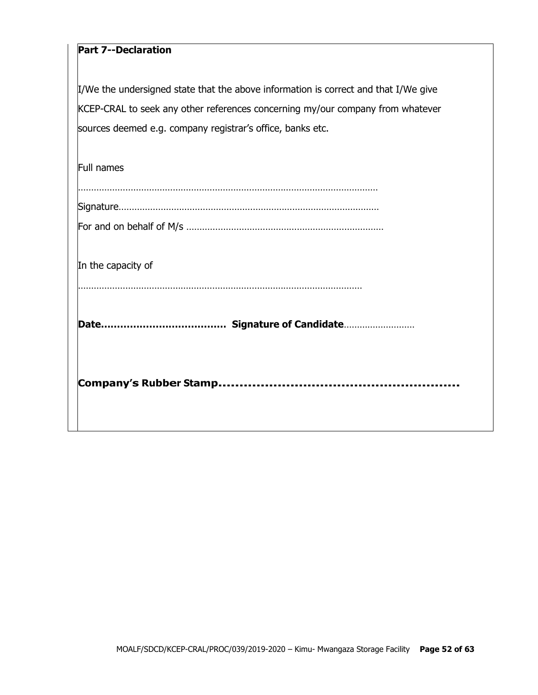## **Part 7--Declaration**

I/We the undersigned state that the above information is correct and that I/We give KCEP-CRAL to seek any other references concerning my/our company from whatever sources deemed e.g. company registrar's office, banks etc.

| Full names         |
|--------------------|
|                    |
| In the capacity of |
|                    |
|                    |
|                    |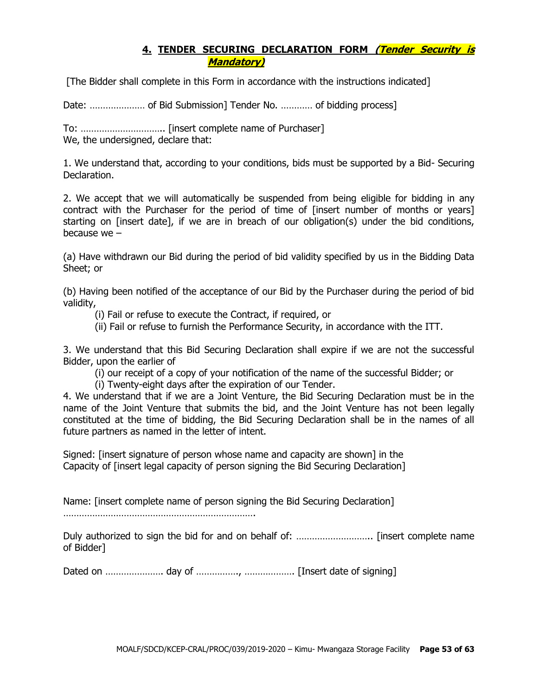## **4. TENDER SECURING DECLARATION FORM (Tender Security is Mandatory)**

[The Bidder shall complete in this Form in accordance with the instructions indicated]

Date: ………………… of Bid Submission] Tender No. ………… of bidding process]

To: ………………………….. [insert complete name of Purchaser] We, the undersigned, declare that:

1. We understand that, according to your conditions, bids must be supported by a Bid- Securing Declaration.

2. We accept that we will automatically be suspended from being eligible for bidding in any contract with the Purchaser for the period of time of [insert number of months or years] starting on [insert date], if we are in breach of our obligation(s) under the bid conditions, because we –

(a) Have withdrawn our Bid during the period of bid validity specified by us in the Bidding Data Sheet; or

(b) Having been notified of the acceptance of our Bid by the Purchaser during the period of bid validity,

(i) Fail or refuse to execute the Contract, if required, or

(ii) Fail or refuse to furnish the Performance Security, in accordance with the ITT.

3. We understand that this Bid Securing Declaration shall expire if we are not the successful Bidder, upon the earlier of

(i) our receipt of a copy of your notification of the name of the successful Bidder; or

(i) Twenty-eight days after the expiration of our Tender.

4. We understand that if we are a Joint Venture, the Bid Securing Declaration must be in the name of the Joint Venture that submits the bid, and the Joint Venture has not been legally constituted at the time of bidding, the Bid Securing Declaration shall be in the names of all future partners as named in the letter of intent.

Signed: [insert signature of person whose name and capacity are shown] in the Capacity of [insert legal capacity of person signing the Bid Securing Declaration]

Name: [insert complete name of person signing the Bid Securing Declaration]

……………………………………………………………….

Duly authorized to sign the bid for and on behalf of: ……………………….. [insert complete name of Bidder]

Dated on …………………. day of ……………., ………………. [Insert date of signing]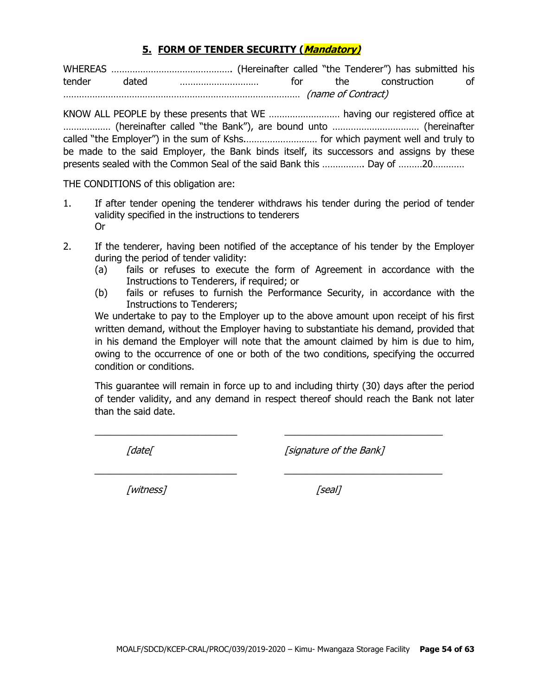#### **5. FORM OF TENDER SECURITY (Mandatory)**

WHEREAS ………………………………………. (Hereinafter called "the Tenderer") has submitted his tender dated ………………………… for the construction of ……………………………………………………………………………… (name of Contract)

KNOW ALL PEOPLE by these presents that WE ……………………… having our registered office at ……………… (hereinafter called "the Bank"), are bound unto …………………………… (hereinafter called "the Employer") in the sum of Kshs.……………………… for which payment well and truly to be made to the said Employer, the Bank binds itself, its successors and assigns by these presents sealed with the Common Seal of the said Bank this ……………. Day of ………20…………

THE CONDITIONS of this obligation are:

- 1. If after tender opening the tenderer withdraws his tender during the period of tender validity specified in the instructions to tenderers Or
- 2. If the tenderer, having been notified of the acceptance of his tender by the Employer during the period of tender validity:
	- (a) fails or refuses to execute the form of Agreement in accordance with the Instructions to Tenderers, if required; or
	- (b) fails or refuses to furnish the Performance Security, in accordance with the Instructions to Tenderers;

We undertake to pay to the Employer up to the above amount upon receipt of his first written demand, without the Employer having to substantiate his demand, provided that in his demand the Employer will note that the amount claimed by him is due to him, owing to the occurrence of one or both of the two conditions, specifying the occurred condition or conditions.

This guarantee will remain in force up to and including thirty (30) days after the period of tender validity, and any demand in respect thereof should reach the Bank not later than the said date.

 $\_$  , and the set of the set of the set of the set of the set of the set of the set of the set of the set of the set of the set of the set of the set of the set of the set of the set of the set of the set of the set of th

\_\_\_\_\_\_\_\_\_\_\_\_\_\_\_\_\_\_\_\_\_\_\_\_\_\_\_ \_\_\_\_\_\_\_\_\_\_\_\_\_\_\_\_\_\_\_\_\_\_\_\_\_\_\_\_\_\_

[date] [signature of the Bank]

[witness] [seal]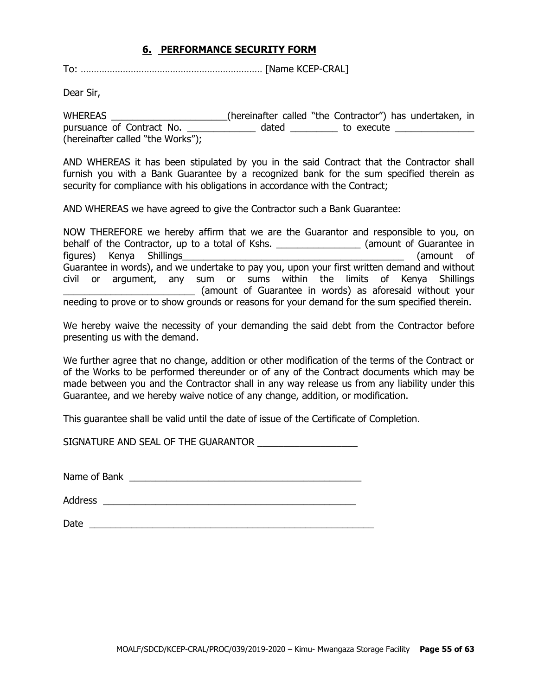#### **6. PERFORMANCE SECURITY FORM**

To: …………………………………………………………… [Name KCEP-CRAL]

Dear Sir,

WHEREAS \_\_\_\_\_\_\_\_\_\_\_\_\_\_\_\_\_\_\_\_\_\_(hereinafter called "the Contractor") has undertaken, in pursuance of Contract No. \_\_\_\_\_\_\_\_\_\_\_\_\_\_ dated \_\_\_\_\_\_\_\_\_\_ to execute \_\_\_\_\_\_\_\_\_\_\_ (hereinafter called "the Works");

AND WHEREAS it has been stipulated by you in the said Contract that the Contractor shall furnish you with a Bank Guarantee by a recognized bank for the sum specified therein as security for compliance with his obligations in accordance with the Contract;

AND WHEREAS we have agreed to give the Contractor such a Bank Guarantee:

NOW THEREFORE we hereby affirm that we are the Guarantor and responsible to you, on behalf of the Contractor, up to a total of Kshs. \_\_\_\_\_\_\_\_\_\_\_\_\_\_\_\_\_\_\_\_(amount of Guarantee in figures) Kenya Shillings\_\_\_\_\_\_\_\_\_\_\_\_\_\_\_\_\_\_\_\_\_\_\_\_\_\_\_\_\_\_\_\_\_\_\_\_\_\_\_\_\_\_ (amount of Guarantee in words), and we undertake to pay you, upon your first written demand and without civil or argument, any sum or sums within the limits of Kenya Shillings \_\_\_\_\_\_\_\_\_\_\_\_\_\_\_\_\_\_\_\_\_\_\_\_\_ (amount of Guarantee in words) as aforesaid without your needing to prove or to show grounds or reasons for your demand for the sum specified therein.

We hereby waive the necessity of your demanding the said debt from the Contractor before presenting us with the demand.

We further agree that no change, addition or other modification of the terms of the Contract or of the Works to be performed thereunder or of any of the Contract documents which may be made between you and the Contractor shall in any way release us from any liability under this Guarantee, and we hereby waive notice of any change, addition, or modification.

This guarantee shall be valid until the date of issue of the Certificate of Completion.

SIGNATURE AND SEAL OF THE GUARANTOR  $\_\_\_\_\_\_\_\_\_\_\_$ 

Name of Bank \_\_\_\_\_\_\_\_\_\_\_\_\_\_\_\_\_\_\_\_\_\_\_\_\_\_\_\_\_\_\_\_\_\_\_\_\_\_\_\_\_\_\_\_

Address  $\overline{\phantom{a}}$ 

Date  $\Box$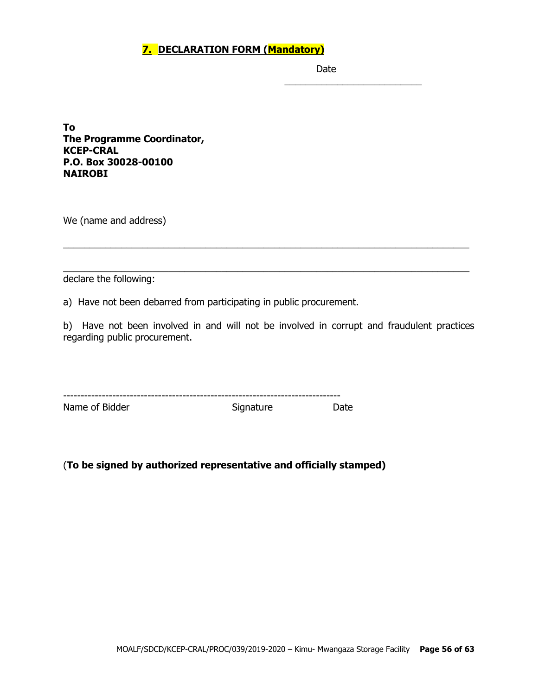## **7. DECLARATION FORM (Mandatory)**

Date

\_\_\_\_\_\_\_\_\_\_\_\_\_\_\_\_\_\_\_\_\_\_\_\_\_\_

**To The Programme Coordinator, KCEP-CRAL P.O. Box 30028-00100 NAIROBI**

We (name and address)

declare the following:

a) Have not been debarred from participating in public procurement.

b) Have not been involved in and will not be involved in corrupt and fraudulent practices regarding public procurement.

\_\_\_\_\_\_\_\_\_\_\_\_\_\_\_\_\_\_\_\_\_\_\_\_\_\_\_\_\_\_\_\_\_\_\_\_\_\_\_\_\_\_\_\_\_\_\_\_\_\_\_\_\_\_\_\_\_\_\_\_\_\_\_\_\_\_\_\_\_\_\_\_\_\_\_\_\_

\_\_\_\_\_\_\_\_\_\_\_\_\_\_\_\_\_\_\_\_\_\_\_\_\_\_\_\_\_\_\_\_\_\_\_\_\_\_\_\_\_\_\_\_\_\_\_\_\_\_\_\_\_\_\_\_\_\_\_\_\_\_\_\_\_\_\_\_\_\_\_\_\_\_\_\_\_

| ---            |           |       |
|----------------|-----------|-------|
| Name of Bidder | Signature | Date. |

## (**To be signed by authorized representative and officially stamped)**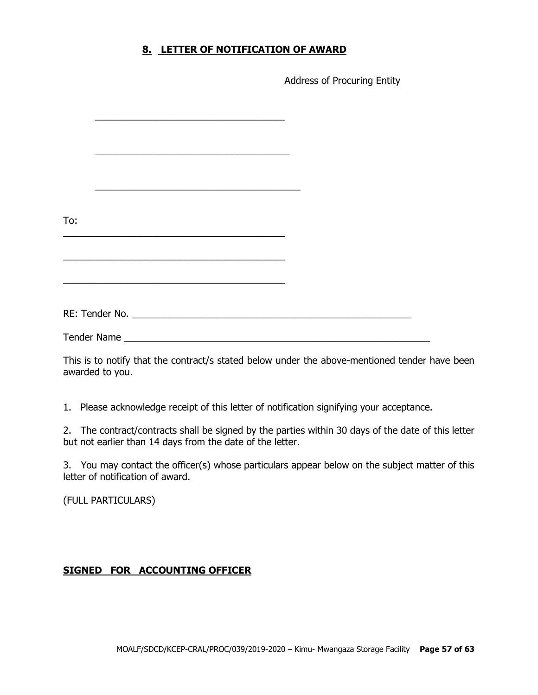#### **8. LETTER OF NOTIFICATION OF AWARD**

Address of Procuring Entity

| To:                |                                                                                                                       |  |
|--------------------|-----------------------------------------------------------------------------------------------------------------------|--|
|                    |                                                                                                                       |  |
|                    |                                                                                                                       |  |
|                    |                                                                                                                       |  |
|                    | <u> 1989 - Johann John Stone, markin biskup yn y steatr y brening yn y brening yn y brening y brening yn y brenin</u> |  |
|                    |                                                                                                                       |  |
|                    |                                                                                                                       |  |
| <b>Tender Name</b> |                                                                                                                       |  |

This is to notify that the contract/s stated below under the above-mentioned tender have been awarded to you.

1. Please acknowledge receipt of this letter of notification signifying your acceptance.

2. The contract/contracts shall be signed by the parties within 30 days of the date of this letter but not earlier than 14 days from the date of the letter.

3. You may contact the officer(s) whose particulars appear below on the subject matter of this letter of notification of award.

(FULL PARTICULARS)

#### **SIGNED FOR ACCOUNTING OFFICER**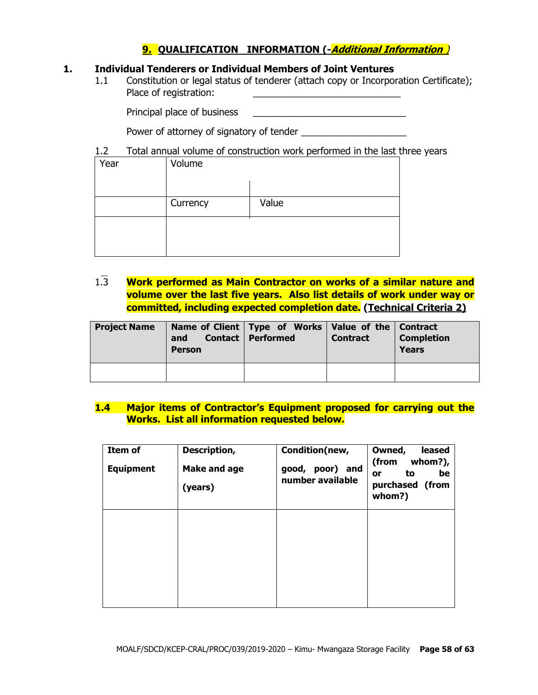## **9. QUALIFICATION INFORMATION (-Additional Information** )

#### **1. Individual Tenderers or Individual Members of Joint Ventures**

1.1 Constitution or legal status of tenderer (attach copy or Incorporation Certificate); Place of registration:

Principal place of business \_\_\_\_\_\_\_\_\_\_\_\_\_\_\_\_\_\_\_\_\_\_\_\_\_\_\_\_\_

Power of attorney of signatory of tender

#### 1.2 Total annual volume of construction work performed in the last three years

| Year | Volume   |       |
|------|----------|-------|
|      | Currency | Value |
|      |          |       |
|      |          |       |

1.3 **Work performed as Main Contractor on works of a similar nature and volume over the last five years. Also list details of work under way or committed, including expected completion date. (Technical Criteria 2)**

| <b>Project Name</b> | and<br><b>Person</b> | Name of Client   Type of Works   Value of the   Contract<br><b>Contact   Performed</b> | <b>Contract</b> | <b>Completion</b><br><b>Years</b> |
|---------------------|----------------------|----------------------------------------------------------------------------------------|-----------------|-----------------------------------|
|                     |                      |                                                                                        |                 |                                   |

#### **1.4 Major items of Contractor's Equipment proposed for carrying out the Works. List all information requested below.**

| Item of<br><b>Equipment</b> | Description,<br><b>Make and age</b><br>(years) | Condition(new,<br>poor) and<br>good,<br>number available | Owned,<br>leased<br>whom?),<br>(from<br>be<br>to<br>or<br>purchased (from<br>whom?) |
|-----------------------------|------------------------------------------------|----------------------------------------------------------|-------------------------------------------------------------------------------------|
|                             |                                                |                                                          |                                                                                     |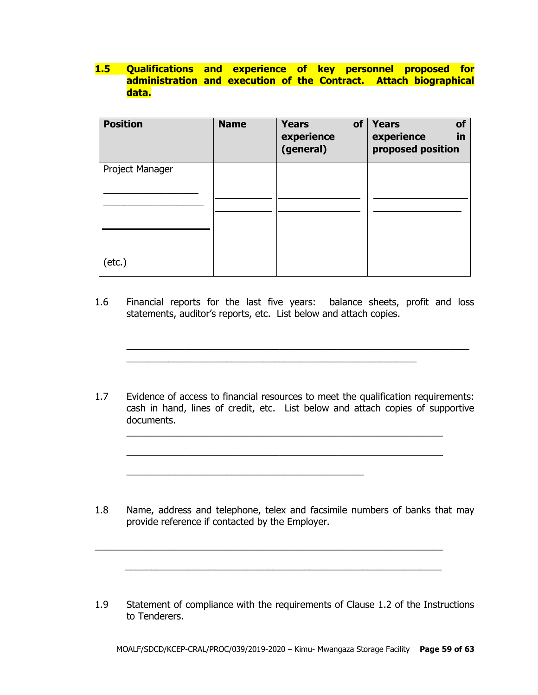## **1.5 Qualifications and experience of key personnel proposed for administration and execution of the Contract. Attach biographical data.**

| <b>Position</b> | <b>Name</b> | <b>Years</b><br>of<br>experience<br>(general) | Years<br>of<br>experience<br>in<br>proposed position |
|-----------------|-------------|-----------------------------------------------|------------------------------------------------------|
| Project Manager |             |                                               |                                                      |
|                 |             |                                               |                                                      |
|                 |             |                                               |                                                      |
|                 |             |                                               |                                                      |
| $(\text{etc.})$ |             |                                               |                                                      |

1.6 Financial reports for the last five years: balance sheets, profit and loss statements, auditor's reports, etc. List below and attach copies.

\_\_\_\_\_\_\_\_\_\_\_\_\_\_\_\_\_\_\_\_\_\_\_\_\_\_\_\_\_\_\_\_\_\_\_\_\_\_\_\_\_\_\_\_\_\_\_\_\_\_\_\_\_\_\_

 $\_$  , and the set of the set of the set of the set of the set of the set of the set of the set of the set of the set of the set of the set of the set of the set of the set of the set of the set of the set of the set of th

1.7 Evidence of access to financial resources to meet the qualification requirements: cash in hand, lines of credit, etc. List below and attach copies of supportive documents.

\_\_\_\_\_\_\_\_\_\_\_\_\_\_\_\_\_\_\_\_\_\_\_\_\_\_\_\_\_\_\_\_\_\_\_\_\_\_\_\_\_\_\_\_\_\_\_\_\_\_\_\_\_\_\_\_\_\_\_\_

 $\_$  , and the set of the set of the set of the set of the set of the set of the set of the set of the set of the set of the set of the set of the set of the set of the set of the set of the set of the set of the set of th

\_\_\_\_\_\_\_\_\_\_\_\_\_\_\_\_\_\_\_\_\_\_\_\_\_\_\_\_\_\_\_\_\_\_\_\_\_\_\_\_\_\_\_\_\_

1.8 Name, address and telephone, telex and facsimile numbers of banks that may provide reference if contacted by the Employer.

 $\_$  , and the set of the set of the set of the set of the set of the set of the set of the set of the set of the set of the set of the set of the set of the set of the set of the set of the set of the set of the set of th

 $\frac{1}{2}$  ,  $\frac{1}{2}$  ,  $\frac{1}{2}$  ,  $\frac{1}{2}$  ,  $\frac{1}{2}$  ,  $\frac{1}{2}$  ,  $\frac{1}{2}$  ,  $\frac{1}{2}$  ,  $\frac{1}{2}$  ,  $\frac{1}{2}$  ,  $\frac{1}{2}$  ,  $\frac{1}{2}$  ,  $\frac{1}{2}$  ,  $\frac{1}{2}$  ,  $\frac{1}{2}$  ,  $\frac{1}{2}$  ,  $\frac{1}{2}$  ,  $\frac{1}{2}$  ,  $\frac{1$ 

1.9 Statement of compliance with the requirements of Clause 1.2 of the Instructions to Tenderers.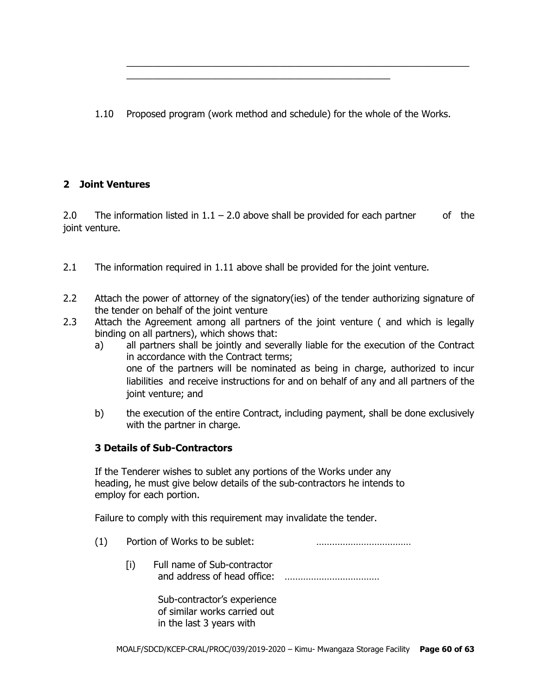1.10 Proposed program (work method and schedule) for the whole of the Works.

\_\_\_\_\_\_\_\_\_\_\_\_\_\_\_\_\_\_\_\_\_\_\_\_\_\_\_\_\_\_\_\_\_\_\_\_\_\_\_\_\_\_\_\_\_\_\_\_\_\_

 $\_$  , and the set of the set of the set of the set of the set of the set of the set of the set of the set of the set of the set of the set of the set of the set of the set of the set of the set of the set of the set of th

## **2 Joint Ventures**

2.0 The information listed in  $1.1 - 2.0$  above shall be provided for each partner of the joint venture.

- 2.1 The information required in 1.11 above shall be provided for the joint venture.
- 2.2 Attach the power of attorney of the signatory(ies) of the tender authorizing signature of the tender on behalf of the joint venture
- 2.3 Attach the Agreement among all partners of the joint venture ( and which is legally binding on all partners), which shows that:
	- a) all partners shall be jointly and severally liable for the execution of the Contract in accordance with the Contract terms; one of the partners will be nominated as being in charge, authorized to incur liabilities and receive instructions for and on behalf of any and all partners of the joint venture; and
	- b) the execution of the entire Contract, including payment, shall be done exclusively with the partner in charge.

#### **3 Details of Sub-Contractors**

If the Tenderer wishes to sublet any portions of the Works under any heading, he must give below details of the sub-contractors he intends to employ for each portion.

Failure to comply with this requirement may invalidate the tender.

- (1) Portion of Works to be sublet: ………………………………
	- [i) Full name of Sub-contractor and address of head office: ………………………………

Sub-contractor's experience of similar works carried out in the last 3 years with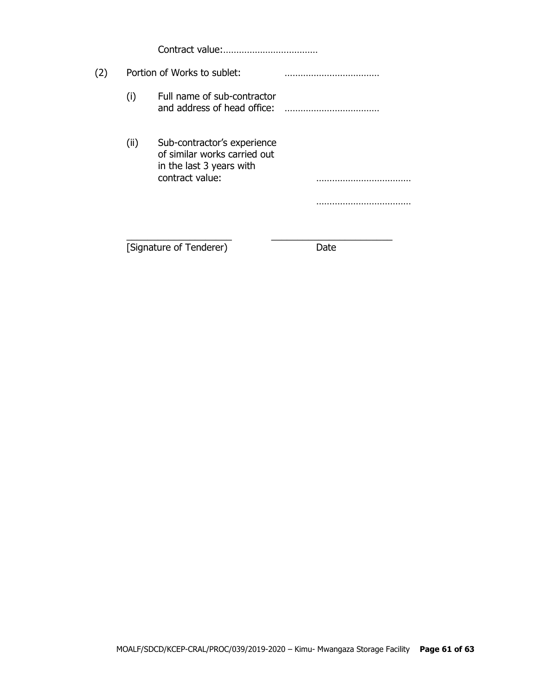Contract value:………………………………

# (2) Portion of Works to sublet: ……………………………… (i) Full name of sub-contractor and address of head office: ……………………………… (ii) Sub-contractor's experience of similar works carried out in the last 3 years with contract value: ………………………………

\_\_\_\_\_\_\_\_\_\_\_\_\_\_\_\_\_\_\_\_ \_\_\_\_\_\_\_\_\_\_\_\_\_\_\_\_\_\_\_\_\_\_\_

………………………………

[Signature of Tenderer) Date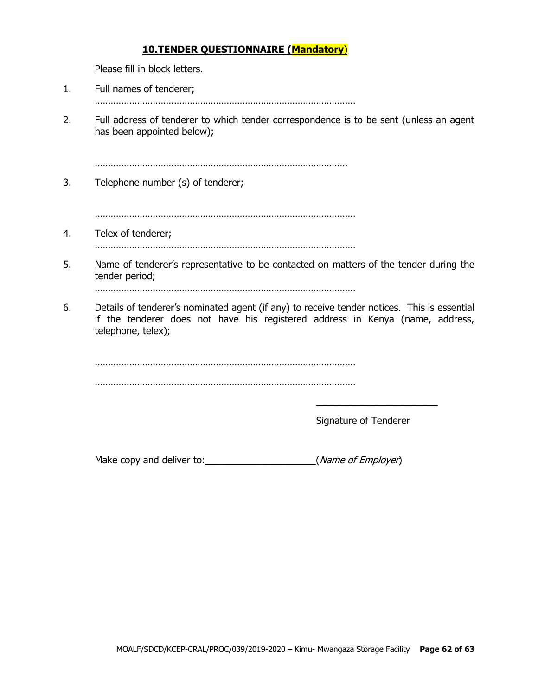#### **10.TENDER QUESTIONNAIRE (Mandatory**)

Please fill in block letters.

- 1. Full names of tenderer;
	- ………………………………………………………………………………………
- 2. Full address of tenderer to which tender correspondence is to be sent (unless an agent has been appointed below);

……………………………………………………………………………………

3. Telephone number (s) of tenderer;

………………………………………………………………………………………

4. Telex of tenderer;

………………………………………………………………………………………

5. Name of tenderer's representative to be contacted on matters of the tender during the tender period;

………………………………………………………………………………………

6. Details of tenderer's nominated agent (if any) to receive tender notices. This is essential if the tenderer does not have his registered address in Kenya (name, address, telephone, telex);

. The same state of the state of the state of the state of the state of the state of the state of the state of the state of the state of the state of the state of the state of the state of the state of the state of the st ………………………………………………………………………………………

Signature of Tenderer

\_\_\_\_\_\_\_\_\_\_\_\_\_\_\_\_\_\_\_\_\_\_\_

Make copy and deliver to:  $(Mame of Employee)$